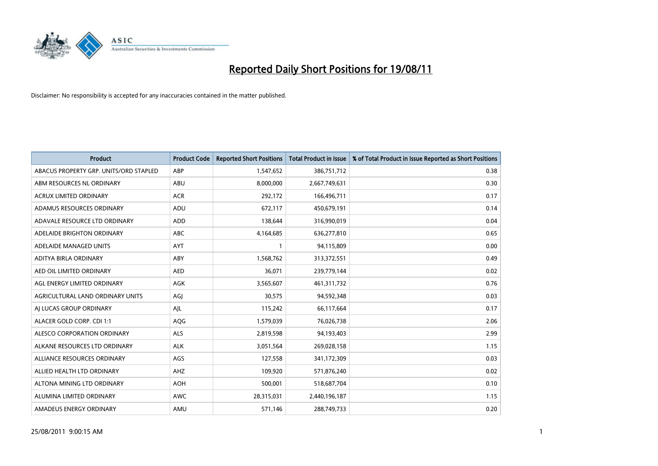

| <b>Product</b>                         | <b>Product Code</b> | <b>Reported Short Positions</b> | <b>Total Product in Issue</b> | % of Total Product in Issue Reported as Short Positions |
|----------------------------------------|---------------------|---------------------------------|-------------------------------|---------------------------------------------------------|
| ABACUS PROPERTY GRP. UNITS/ORD STAPLED | ABP                 | 1,547,652                       | 386,751,712                   | 0.38                                                    |
| ABM RESOURCES NL ORDINARY              | ABU                 | 8,000,000                       | 2,667,749,631                 | 0.30                                                    |
| <b>ACRUX LIMITED ORDINARY</b>          | <b>ACR</b>          | 292,172                         | 166,496,711                   | 0.17                                                    |
| ADAMUS RESOURCES ORDINARY              | ADU                 | 672,117                         | 450,679,191                   | 0.14                                                    |
| ADAVALE RESOURCE LTD ORDINARY          | <b>ADD</b>          | 138,644                         | 316,990,019                   | 0.04                                                    |
| ADELAIDE BRIGHTON ORDINARY             | <b>ABC</b>          | 4,164,685                       | 636,277,810                   | 0.65                                                    |
| ADELAIDE MANAGED UNITS                 | <b>AYT</b>          |                                 | 94,115,809                    | 0.00                                                    |
| ADITYA BIRLA ORDINARY                  | ABY                 | 1,568,762                       | 313,372,551                   | 0.49                                                    |
| AED OIL LIMITED ORDINARY               | <b>AED</b>          | 36,071                          | 239,779,144                   | 0.02                                                    |
| AGL ENERGY LIMITED ORDINARY            | <b>AGK</b>          | 3,565,607                       | 461,311,732                   | 0.76                                                    |
| AGRICULTURAL LAND ORDINARY UNITS       | AGJ                 | 30,575                          | 94,592,348                    | 0.03                                                    |
| AJ LUCAS GROUP ORDINARY                | AIL                 | 115,242                         | 66,117,664                    | 0.17                                                    |
| ALACER GOLD CORP. CDI 1:1              | AQG                 | 1,579,039                       | 76,026,738                    | 2.06                                                    |
| ALESCO CORPORATION ORDINARY            | ALS                 | 2,819,598                       | 94,193,403                    | 2.99                                                    |
| ALKANE RESOURCES LTD ORDINARY          | <b>ALK</b>          | 3,051,564                       | 269,028,158                   | 1.15                                                    |
| ALLIANCE RESOURCES ORDINARY            | AGS                 | 127,558                         | 341,172,309                   | 0.03                                                    |
| ALLIED HEALTH LTD ORDINARY             | <b>AHZ</b>          | 109,920                         | 571,876,240                   | 0.02                                                    |
| ALTONA MINING LTD ORDINARY             | <b>AOH</b>          | 500,001                         | 518,687,704                   | 0.10                                                    |
| ALUMINA LIMITED ORDINARY               | <b>AWC</b>          | 28,315,031                      | 2,440,196,187                 | 1.15                                                    |
| AMADEUS ENERGY ORDINARY                | AMU                 | 571,146                         | 288,749,733                   | 0.20                                                    |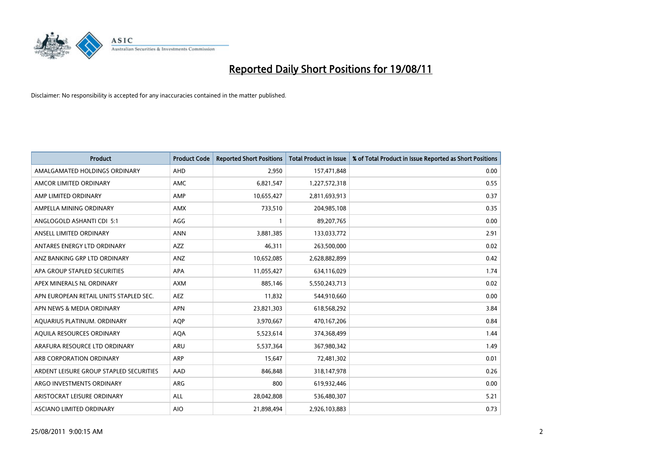

| <b>Product</b>                          | <b>Product Code</b> | <b>Reported Short Positions</b> | <b>Total Product in Issue</b> | % of Total Product in Issue Reported as Short Positions |
|-----------------------------------------|---------------------|---------------------------------|-------------------------------|---------------------------------------------------------|
| AMALGAMATED HOLDINGS ORDINARY           | AHD                 | 2,950                           | 157,471,848                   | 0.00                                                    |
| AMCOR LIMITED ORDINARY                  | <b>AMC</b>          | 6,821,547                       | 1,227,572,318                 | 0.55                                                    |
| AMP LIMITED ORDINARY                    | AMP                 | 10,655,427                      | 2,811,693,913                 | 0.37                                                    |
| AMPELLA MINING ORDINARY                 | <b>AMX</b>          | 733,510                         | 204,985,108                   | 0.35                                                    |
| ANGLOGOLD ASHANTI CDI 5:1               | <b>AGG</b>          |                                 | 89,207,765                    | 0.00                                                    |
| ANSELL LIMITED ORDINARY                 | <b>ANN</b>          | 3,881,385                       | 133,033,772                   | 2.91                                                    |
| ANTARES ENERGY LTD ORDINARY             | <b>AZZ</b>          | 46,311                          | 263,500,000                   | 0.02                                                    |
| ANZ BANKING GRP LTD ORDINARY            | ANZ                 | 10,652,085                      | 2,628,882,899                 | 0.42                                                    |
| APA GROUP STAPLED SECURITIES            | <b>APA</b>          | 11,055,427                      | 634,116,029                   | 1.74                                                    |
| APEX MINERALS NL ORDINARY               | <b>AXM</b>          | 885.146                         | 5,550,243,713                 | 0.02                                                    |
| APN EUROPEAN RETAIL UNITS STAPLED SEC.  | <b>AEZ</b>          | 11,832                          | 544,910,660                   | 0.00                                                    |
| APN NEWS & MEDIA ORDINARY               | <b>APN</b>          | 23,821,303                      | 618,568,292                   | 3.84                                                    |
| AQUARIUS PLATINUM. ORDINARY             | <b>AQP</b>          | 3,970,667                       | 470,167,206                   | 0.84                                                    |
| AOUILA RESOURCES ORDINARY               | <b>AQA</b>          | 5,523,614                       | 374,368,499                   | 1.44                                                    |
| ARAFURA RESOURCE LTD ORDINARY           | <b>ARU</b>          | 5,537,364                       | 367,980,342                   | 1.49                                                    |
| ARB CORPORATION ORDINARY                | <b>ARP</b>          | 15,647                          | 72,481,302                    | 0.01                                                    |
| ARDENT LEISURE GROUP STAPLED SECURITIES | AAD                 | 846,848                         | 318,147,978                   | 0.26                                                    |
| ARGO INVESTMENTS ORDINARY               | ARG                 | 800                             | 619,932,446                   | 0.00                                                    |
| ARISTOCRAT LEISURE ORDINARY             | <b>ALL</b>          | 28,042,808                      | 536,480,307                   | 5.21                                                    |
| ASCIANO LIMITED ORDINARY                | <b>AIO</b>          | 21.898.494                      | 2,926,103,883                 | 0.73                                                    |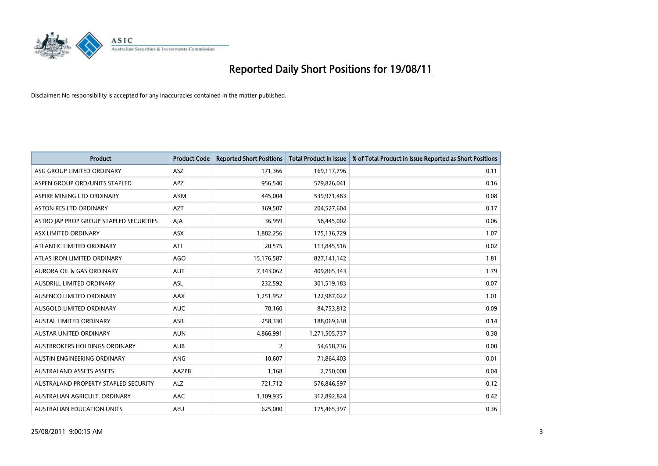

| <b>Product</b>                          | <b>Product Code</b> | <b>Reported Short Positions</b> | Total Product in Issue | % of Total Product in Issue Reported as Short Positions |
|-----------------------------------------|---------------------|---------------------------------|------------------------|---------------------------------------------------------|
| ASG GROUP LIMITED ORDINARY              | <b>ASZ</b>          | 171,366                         | 169,117,796            | 0.11                                                    |
| ASPEN GROUP ORD/UNITS STAPLED           | <b>APZ</b>          | 956,540                         | 579,826,041            | 0.16                                                    |
| ASPIRE MINING LTD ORDINARY              | <b>AKM</b>          | 445,004                         | 539,971,483            | 0.08                                                    |
| ASTON RES LTD ORDINARY                  | <b>AZT</b>          | 369,507                         | 204,527,604            | 0.17                                                    |
| ASTRO JAP PROP GROUP STAPLED SECURITIES | AJA                 | 36,959                          | 58,445,002             | 0.06                                                    |
| ASX LIMITED ORDINARY                    | ASX                 | 1,882,256                       | 175,136,729            | 1.07                                                    |
| ATLANTIC LIMITED ORDINARY               | ATI                 | 20,575                          | 113,845,516            | 0.02                                                    |
| ATLAS IRON LIMITED ORDINARY             | <b>AGO</b>          | 15,176,587                      | 827,141,142            | 1.81                                                    |
| AURORA OIL & GAS ORDINARY               | <b>AUT</b>          | 7,343,062                       | 409,865,343            | 1.79                                                    |
| <b>AUSDRILL LIMITED ORDINARY</b>        | <b>ASL</b>          | 232,592                         | 301,519,183            | 0.07                                                    |
| AUSENCO LIMITED ORDINARY                | <b>AAX</b>          | 1,251,952                       | 122,987,022            | 1.01                                                    |
| AUSGOLD LIMITED ORDINARY                | <b>AUC</b>          | 78,160                          | 84,753,812             | 0.09                                                    |
| AUSTAL LIMITED ORDINARY                 | ASB                 | 258,330                         | 188,069,638            | 0.14                                                    |
| <b>AUSTAR UNITED ORDINARY</b>           | <b>AUN</b>          | 4,866,991                       | 1,271,505,737          | 0.38                                                    |
| <b>AUSTBROKERS HOLDINGS ORDINARY</b>    | <b>AUB</b>          | 2                               | 54,658,736             | 0.00                                                    |
| AUSTIN ENGINEERING ORDINARY             | ANG                 | 10,607                          | 71,864,403             | 0.01                                                    |
| <b>AUSTRALAND ASSETS ASSETS</b>         | AAZPB               | 1,168                           | 2,750,000              | 0.04                                                    |
| AUSTRALAND PROPERTY STAPLED SECURITY    | <b>ALZ</b>          | 721,712                         | 576,846,597            | 0.12                                                    |
| AUSTRALIAN AGRICULT, ORDINARY           | AAC                 | 1,309,935                       | 312,892,824            | 0.42                                                    |
| AUSTRALIAN EDUCATION UNITS              | <b>AEU</b>          | 625.000                         | 175,465,397            | 0.36                                                    |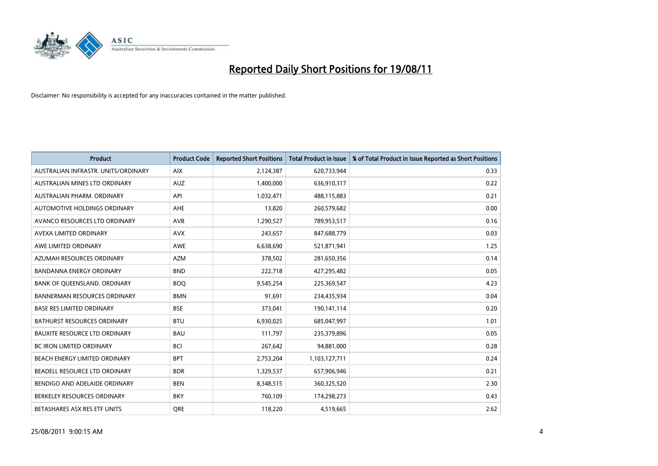

| <b>Product</b>                       | <b>Product Code</b> | <b>Reported Short Positions</b> | Total Product in Issue | % of Total Product in Issue Reported as Short Positions |
|--------------------------------------|---------------------|---------------------------------|------------------------|---------------------------------------------------------|
| AUSTRALIAN INFRASTR, UNITS/ORDINARY  | <b>AIX</b>          | 2,124,387                       | 620,733,944            | 0.33                                                    |
| AUSTRALIAN MINES LTD ORDINARY        | <b>AUZ</b>          | 1,400,000                       | 636,910,317            | 0.22                                                    |
| AUSTRALIAN PHARM, ORDINARY           | API                 | 1,032,471                       | 488,115,883            | 0.21                                                    |
| AUTOMOTIVE HOLDINGS ORDINARY         | AHE                 | 13,820                          | 260,579,682            | 0.00                                                    |
| AVANCO RESOURCES LTD ORDINARY        | AVB                 | 1,290,527                       | 789,953,517            | 0.16                                                    |
| AVEXA LIMITED ORDINARY               | <b>AVX</b>          | 243,657                         | 847,688,779            | 0.03                                                    |
| AWE LIMITED ORDINARY                 | <b>AWE</b>          | 6,638,690                       | 521,871,941            | 1.25                                                    |
| AZUMAH RESOURCES ORDINARY            | <b>AZM</b>          | 378,502                         | 281,650,356            | 0.14                                                    |
| <b>BANDANNA ENERGY ORDINARY</b>      | <b>BND</b>          | 222,718                         | 427,295,482            | 0.05                                                    |
| BANK OF QUEENSLAND. ORDINARY         | <b>BOO</b>          | 9,545,254                       | 225,369,547            | 4.23                                                    |
| <b>BANNERMAN RESOURCES ORDINARY</b>  | <b>BMN</b>          | 91,691                          | 234,435,934            | 0.04                                                    |
| <b>BASE RES LIMITED ORDINARY</b>     | <b>BSE</b>          | 373,041                         | 190,141,114            | 0.20                                                    |
| BATHURST RESOURCES ORDINARY          | <b>BTU</b>          | 6,930,025                       | 685,047,997            | 1.01                                                    |
| <b>BAUXITE RESOURCE LTD ORDINARY</b> | <b>BAU</b>          | 111,797                         | 235,379,896            | 0.05                                                    |
| <b>BC IRON LIMITED ORDINARY</b>      | <b>BCI</b>          | 267,642                         | 94,881,000             | 0.28                                                    |
| BEACH ENERGY LIMITED ORDINARY        | <b>BPT</b>          | 2,753,204                       | 1,103,127,711          | 0.24                                                    |
| BEADELL RESOURCE LTD ORDINARY        | <b>BDR</b>          | 1,329,537                       | 657,906,946            | 0.21                                                    |
| BENDIGO AND ADELAIDE ORDINARY        | <b>BEN</b>          | 8,348,515                       | 360,325,520            | 2.30                                                    |
| BERKELEY RESOURCES ORDINARY          | <b>BKY</b>          | 760,109                         | 174,298,273            | 0.43                                                    |
| BETASHARES ASX RES ETF UNITS         | <b>ORE</b>          | 118,220                         | 4,519,665              | 2.62                                                    |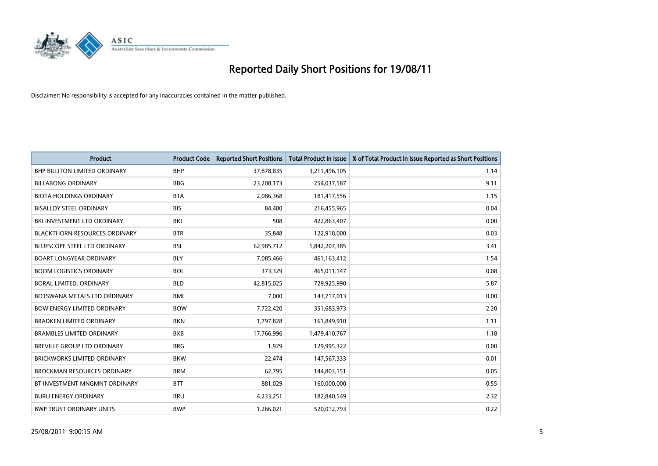

| <b>Product</b>                       | <b>Product Code</b> | <b>Reported Short Positions</b> | <b>Total Product in Issue</b> | % of Total Product in Issue Reported as Short Positions |
|--------------------------------------|---------------------|---------------------------------|-------------------------------|---------------------------------------------------------|
| <b>BHP BILLITON LIMITED ORDINARY</b> | <b>BHP</b>          | 37,878,835                      | 3,211,496,105                 | 1.14                                                    |
| <b>BILLABONG ORDINARY</b>            | <b>BBG</b>          | 23,208,173                      | 254,037,587                   | 9.11                                                    |
| <b>BIOTA HOLDINGS ORDINARY</b>       | <b>BTA</b>          | 2,086,368                       | 181,417,556                   | 1.15                                                    |
| <b>BISALLOY STEEL ORDINARY</b>       | <b>BIS</b>          | 84,480                          | 216,455,965                   | 0.04                                                    |
| BKI INVESTMENT LTD ORDINARY          | <b>BKI</b>          | 508                             | 422,863,407                   | 0.00                                                    |
| <b>BLACKTHORN RESOURCES ORDINARY</b> | <b>BTR</b>          | 35,848                          | 122,918,000                   | 0.03                                                    |
| <b>BLUESCOPE STEEL LTD ORDINARY</b>  | <b>BSL</b>          | 62,985,712                      | 1,842,207,385                 | 3.41                                                    |
| <b>BOART LONGYEAR ORDINARY</b>       | <b>BLY</b>          | 7,085,466                       | 461,163,412                   | 1.54                                                    |
| <b>BOOM LOGISTICS ORDINARY</b>       | <b>BOL</b>          | 373,329                         | 465,011,147                   | 0.08                                                    |
| BORAL LIMITED, ORDINARY              | <b>BLD</b>          | 42,815,025                      | 729,925,990                   | 5.87                                                    |
| BOTSWANA METALS LTD ORDINARY         | <b>BML</b>          | 7,000                           | 143,717,013                   | 0.00                                                    |
| <b>BOW ENERGY LIMITED ORDINARY</b>   | <b>BOW</b>          | 7,722,420                       | 351,683,973                   | 2.20                                                    |
| <b>BRADKEN LIMITED ORDINARY</b>      | <b>BKN</b>          | 1,797,828                       | 161,849,910                   | 1.11                                                    |
| <b>BRAMBLES LIMITED ORDINARY</b>     | <b>BXB</b>          | 17,766,996                      | 1,479,410,767                 | 1.18                                                    |
| <b>BREVILLE GROUP LTD ORDINARY</b>   | <b>BRG</b>          | 1,929                           | 129,995,322                   | 0.00                                                    |
| <b>BRICKWORKS LIMITED ORDINARY</b>   | <b>BKW</b>          | 22,474                          | 147,567,333                   | 0.01                                                    |
| <b>BROCKMAN RESOURCES ORDINARY</b>   | <b>BRM</b>          | 62,795                          | 144,803,151                   | 0.05                                                    |
| BT INVESTMENT MNGMNT ORDINARY        | <b>BTT</b>          | 881,029                         | 160,000,000                   | 0.55                                                    |
| <b>BURU ENERGY ORDINARY</b>          | <b>BRU</b>          | 4,233,251                       | 182,840,549                   | 2.32                                                    |
| <b>BWP TRUST ORDINARY UNITS</b>      | <b>BWP</b>          | 1,266,021                       | 520,012,793                   | 0.22                                                    |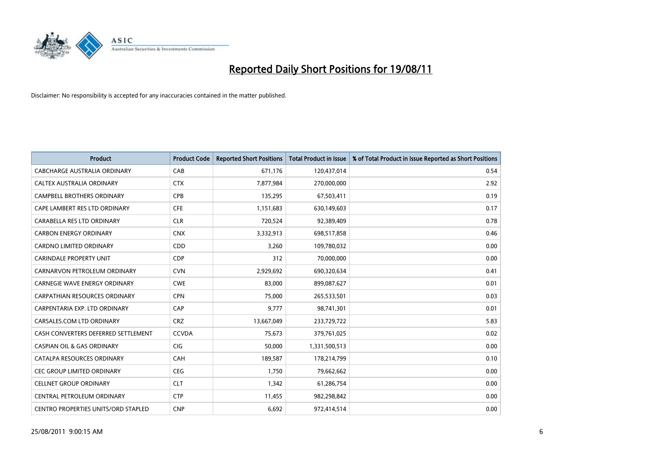

| <b>Product</b>                        | <b>Product Code</b> | <b>Reported Short Positions</b> | <b>Total Product in Issue</b> | % of Total Product in Issue Reported as Short Positions |
|---------------------------------------|---------------------|---------------------------------|-------------------------------|---------------------------------------------------------|
| <b>CABCHARGE AUSTRALIA ORDINARY</b>   | CAB                 | 671,176                         | 120,437,014                   | 0.54                                                    |
| CALTEX AUSTRALIA ORDINARY             | <b>CTX</b>          | 7,877,984                       | 270,000,000                   | 2.92                                                    |
| <b>CAMPBELL BROTHERS ORDINARY</b>     | <b>CPB</b>          | 135,295                         | 67,503,411                    | 0.19                                                    |
| CAPE LAMBERT RES LTD ORDINARY         | <b>CFE</b>          | 1,151,683                       | 630,149,603                   | 0.17                                                    |
| CARABELLA RES LTD ORDINARY            | <b>CLR</b>          | 720,524                         | 92,389,409                    | 0.78                                                    |
| <b>CARBON ENERGY ORDINARY</b>         | <b>CNX</b>          | 3,332,913                       | 698,517,858                   | 0.46                                                    |
| <b>CARDNO LIMITED ORDINARY</b>        | <b>CDD</b>          | 3,260                           | 109,780,032                   | 0.00                                                    |
| <b>CARINDALE PROPERTY UNIT</b>        | <b>CDP</b>          | 312                             | 70,000,000                    | 0.00                                                    |
| CARNARVON PETROLEUM ORDINARY          | <b>CVN</b>          | 2,929,692                       | 690,320,634                   | 0.41                                                    |
| <b>CARNEGIE WAVE ENERGY ORDINARY</b>  | <b>CWE</b>          | 83,000                          | 899,087,627                   | 0.01                                                    |
| <b>CARPATHIAN RESOURCES ORDINARY</b>  | <b>CPN</b>          | 75,000                          | 265,533,501                   | 0.03                                                    |
| CARPENTARIA EXP. LTD ORDINARY         | CAP                 | 9,777                           | 98,741,301                    | 0.01                                                    |
| CARSALES.COM LTD ORDINARY             | <b>CRZ</b>          | 13,667,049                      | 233,729,722                   | 5.83                                                    |
| CASH CONVERTERS DEFERRED SETTLEMENT   | <b>CCVDA</b>        | 75,673                          | 379,761,025                   | 0.02                                                    |
| <b>CASPIAN OIL &amp; GAS ORDINARY</b> | <b>CIG</b>          | 50,000                          | 1,331,500,513                 | 0.00                                                    |
| CATALPA RESOURCES ORDINARY            | CAH                 | 189,587                         | 178,214,799                   | 0.10                                                    |
| <b>CEC GROUP LIMITED ORDINARY</b>     | <b>CEG</b>          | 1,750                           | 79,662,662                    | 0.00                                                    |
| <b>CELLNET GROUP ORDINARY</b>         | <b>CLT</b>          | 1,342                           | 61,286,754                    | 0.00                                                    |
| CENTRAL PETROLEUM ORDINARY            | <b>CTP</b>          | 11,455                          | 982,298,842                   | 0.00                                                    |
| CENTRO PROPERTIES UNITS/ORD STAPLED   | <b>CNP</b>          | 6,692                           | 972,414,514                   | 0.00                                                    |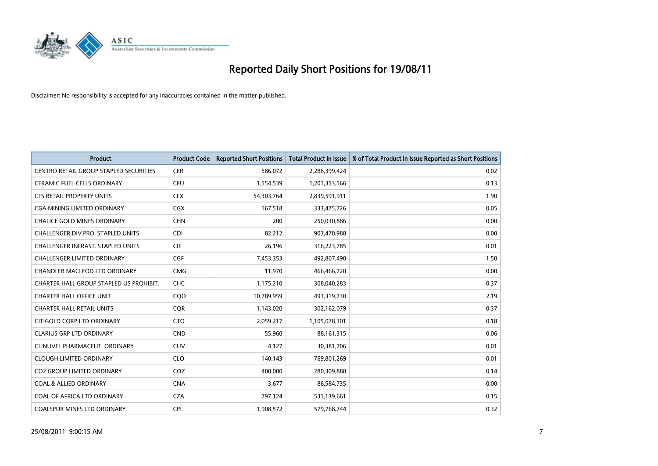

| <b>Product</b>                                | <b>Product Code</b> | <b>Reported Short Positions</b> | Total Product in Issue | % of Total Product in Issue Reported as Short Positions |
|-----------------------------------------------|---------------------|---------------------------------|------------------------|---------------------------------------------------------|
| <b>CENTRO RETAIL GROUP STAPLED SECURITIES</b> | <b>CER</b>          | 586,072                         | 2,286,399,424          | 0.02                                                    |
| CERAMIC FUEL CELLS ORDINARY                   | CFU                 | 1,554,539                       | 1,201,353,566          | 0.13                                                    |
| <b>CFS RETAIL PROPERTY UNITS</b>              | <b>CFX</b>          | 54,303,764                      | 2,839,591,911          | 1.90                                                    |
| CGA MINING LIMITED ORDINARY                   | <b>CGX</b>          | 167,518                         | 333,475,726            | 0.05                                                    |
| <b>CHALICE GOLD MINES ORDINARY</b>            | <b>CHN</b>          | 200                             | 250,030,886            | 0.00                                                    |
| <b>CHALLENGER DIV.PRO. STAPLED UNITS</b>      | <b>CDI</b>          | 82,212                          | 903,470,988            | 0.00                                                    |
| <b>CHALLENGER INFRAST, STAPLED UNITS</b>      | <b>CIF</b>          | 26,196                          | 316,223,785            | 0.01                                                    |
| CHALLENGER LIMITED ORDINARY                   | CGF                 | 7,453,353                       | 492,807,490            | 1.50                                                    |
| CHANDLER MACLEOD LTD ORDINARY                 | <b>CMG</b>          | 11,970                          | 466,466,720            | 0.00                                                    |
| CHARTER HALL GROUP STAPLED US PROHIBIT.       | <b>CHC</b>          | 1,175,210                       | 308,040,283            | 0.37                                                    |
| <b>CHARTER HALL OFFICE UNIT</b>               | CQO                 | 10,789,959                      | 493,319,730            | 2.19                                                    |
| <b>CHARTER HALL RETAIL UNITS</b>              | <b>COR</b>          | 1,143,020                       | 302,162,079            | 0.37                                                    |
| CITIGOLD CORP LTD ORDINARY                    | <b>CTO</b>          | 2,059,217                       | 1,105,078,301          | 0.18                                                    |
| <b>CLARIUS GRP LTD ORDINARY</b>               | <b>CND</b>          | 55,960                          | 88,161,315             | 0.06                                                    |
| CLINUVEL PHARMACEUT, ORDINARY                 | <b>CUV</b>          | 4,127                           | 30,381,706             | 0.01                                                    |
| <b>CLOUGH LIMITED ORDINARY</b>                | <b>CLO</b>          | 140,143                         | 769,801,269            | 0.01                                                    |
| <b>CO2 GROUP LIMITED ORDINARY</b>             | COZ                 | 400,000                         | 280,309,888            | 0.14                                                    |
| <b>COAL &amp; ALLIED ORDINARY</b>             | <b>CNA</b>          | 3,677                           | 86,584,735             | 0.00                                                    |
| COAL OF AFRICA LTD ORDINARY                   | <b>CZA</b>          | 797,124                         | 531,139,661            | 0.15                                                    |
| <b>COALSPUR MINES LTD ORDINARY</b>            | CPL                 | 1,908,572                       | 579,768,744            | 0.32                                                    |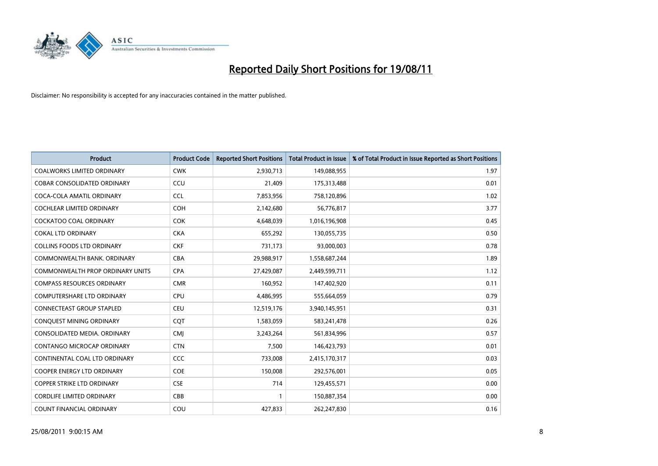

| <b>Product</b>                          | <b>Product Code</b> | <b>Reported Short Positions</b> | <b>Total Product in Issue</b> | % of Total Product in Issue Reported as Short Positions |
|-----------------------------------------|---------------------|---------------------------------|-------------------------------|---------------------------------------------------------|
| <b>COALWORKS LIMITED ORDINARY</b>       | <b>CWK</b>          | 2,930,713                       | 149,088,955                   | 1.97                                                    |
| COBAR CONSOLIDATED ORDINARY             | CCU                 | 21,409                          | 175,313,488                   | 0.01                                                    |
| COCA-COLA AMATIL ORDINARY               | <b>CCL</b>          | 7,853,956                       | 758,120,896                   | 1.02                                                    |
| COCHLEAR LIMITED ORDINARY               | <b>COH</b>          | 2,142,680                       | 56,776,817                    | 3.77                                                    |
| <b>COCKATOO COAL ORDINARY</b>           | <b>COK</b>          | 4,648,039                       | 1,016,196,908                 | 0.45                                                    |
| <b>COKAL LTD ORDINARY</b>               | <b>CKA</b>          | 655,292                         | 130,055,735                   | 0.50                                                    |
| <b>COLLINS FOODS LTD ORDINARY</b>       | <b>CKF</b>          | 731,173                         | 93,000,003                    | 0.78                                                    |
| COMMONWEALTH BANK, ORDINARY             | <b>CBA</b>          | 29,988,917                      | 1,558,687,244                 | 1.89                                                    |
| <b>COMMONWEALTH PROP ORDINARY UNITS</b> | <b>CPA</b>          | 27,429,087                      | 2,449,599,711                 | 1.12                                                    |
| <b>COMPASS RESOURCES ORDINARY</b>       | <b>CMR</b>          | 160,952                         | 147,402,920                   | 0.11                                                    |
| COMPUTERSHARE LTD ORDINARY              | <b>CPU</b>          | 4,486,995                       | 555,664,059                   | 0.79                                                    |
| <b>CONNECTEAST GROUP STAPLED</b>        | <b>CEU</b>          | 12,519,176                      | 3,940,145,951                 | 0.31                                                    |
| CONQUEST MINING ORDINARY                | COT                 | 1,583,059                       | 583,241,478                   | 0.26                                                    |
| CONSOLIDATED MEDIA, ORDINARY            | <b>CMI</b>          | 3,243,264                       | 561,834,996                   | 0.57                                                    |
| CONTANGO MICROCAP ORDINARY              | <b>CTN</b>          | 7,500                           | 146,423,793                   | 0.01                                                    |
| CONTINENTAL COAL LTD ORDINARY           | CCC                 | 733,008                         | 2,415,170,317                 | 0.03                                                    |
| COOPER ENERGY LTD ORDINARY              | <b>COE</b>          | 150,008                         | 292,576,001                   | 0.05                                                    |
| COPPER STRIKE LTD ORDINARY              | <b>CSE</b>          | 714                             | 129,455,571                   | 0.00                                                    |
| <b>CORDLIFE LIMITED ORDINARY</b>        | CBB                 |                                 | 150,887,354                   | 0.00                                                    |
| COUNT FINANCIAL ORDINARY                | COU                 | 427,833                         | 262,247,830                   | 0.16                                                    |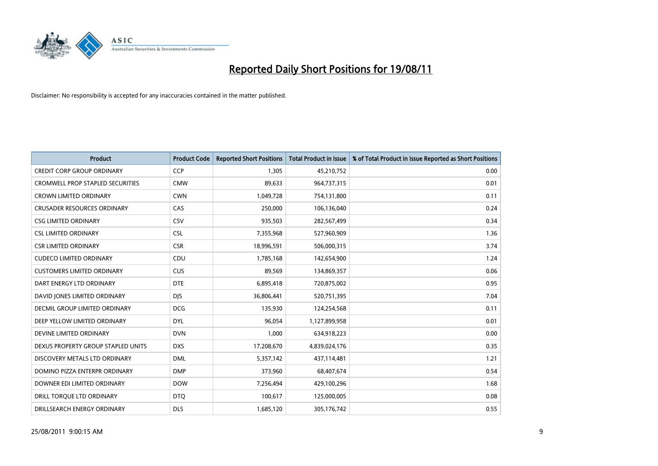

| <b>Product</b>                       | <b>Product Code</b> | <b>Reported Short Positions</b> | <b>Total Product in Issue</b> | % of Total Product in Issue Reported as Short Positions |
|--------------------------------------|---------------------|---------------------------------|-------------------------------|---------------------------------------------------------|
| <b>CREDIT CORP GROUP ORDINARY</b>    | <b>CCP</b>          | 1,305                           | 45,210,752                    | 0.00                                                    |
| CROMWELL PROP STAPLED SECURITIES     | <b>CMW</b>          | 89,633                          | 964,737,315                   | 0.01                                                    |
| <b>CROWN LIMITED ORDINARY</b>        | <b>CWN</b>          | 1,049,728                       | 754,131,800                   | 0.11                                                    |
| <b>CRUSADER RESOURCES ORDINARY</b>   | CAS                 | 250,000                         | 106,136,040                   | 0.24                                                    |
| <b>CSG LIMITED ORDINARY</b>          | CSV                 | 935,503                         | 282,567,499                   | 0.34                                                    |
| <b>CSL LIMITED ORDINARY</b>          | <b>CSL</b>          | 7,355,968                       | 527,960,909                   | 1.36                                                    |
| <b>CSR LIMITED ORDINARY</b>          | <b>CSR</b>          | 18,996,591                      | 506,000,315                   | 3.74                                                    |
| <b>CUDECO LIMITED ORDINARY</b>       | CDU                 | 1,785,168                       | 142,654,900                   | 1.24                                                    |
| <b>CUSTOMERS LIMITED ORDINARY</b>    | CUS                 | 89,569                          | 134,869,357                   | 0.06                                                    |
| DART ENERGY LTD ORDINARY             | <b>DTE</b>          | 6,895,418                       | 720,875,002                   | 0.95                                                    |
| DAVID JONES LIMITED ORDINARY         | <b>DIS</b>          | 36,806,441                      | 520,751,395                   | 7.04                                                    |
| <b>DECMIL GROUP LIMITED ORDINARY</b> | <b>DCG</b>          | 135,930                         | 124,254,568                   | 0.11                                                    |
| DEEP YELLOW LIMITED ORDINARY         | <b>DYL</b>          | 96,054                          | 1,127,899,958                 | 0.01                                                    |
| DEVINE LIMITED ORDINARY              | <b>DVN</b>          | 1,000                           | 634,918,223                   | 0.00                                                    |
| DEXUS PROPERTY GROUP STAPLED UNITS   | <b>DXS</b>          | 17,208,670                      | 4,839,024,176                 | 0.35                                                    |
| DISCOVERY METALS LTD ORDINARY        | <b>DML</b>          | 5,357,142                       | 437,114,481                   | 1.21                                                    |
| DOMINO PIZZA ENTERPR ORDINARY        | <b>DMP</b>          | 373,960                         | 68,407,674                    | 0.54                                                    |
| DOWNER EDI LIMITED ORDINARY          | <b>DOW</b>          | 7,256,494                       | 429,100,296                   | 1.68                                                    |
| DRILL TORQUE LTD ORDINARY            | <b>DTO</b>          | 100,617                         | 125,000,005                   | 0.08                                                    |
| DRILLSEARCH ENERGY ORDINARY          | <b>DLS</b>          | 1,685,120                       | 305,176,742                   | 0.55                                                    |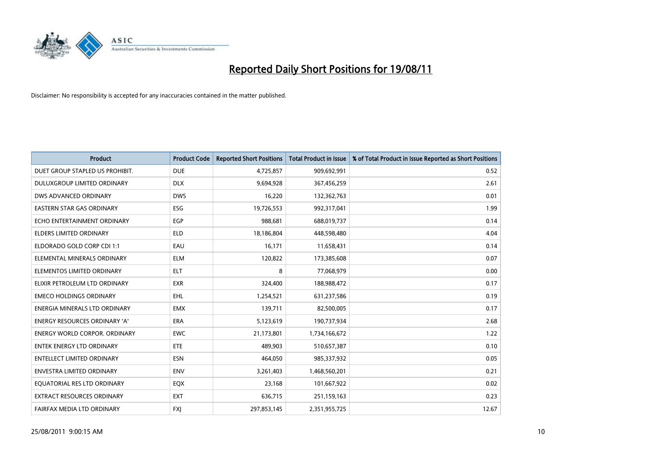

| <b>Product</b>                       | <b>Product Code</b> | <b>Reported Short Positions</b> | <b>Total Product in Issue</b> | % of Total Product in Issue Reported as Short Positions |
|--------------------------------------|---------------------|---------------------------------|-------------------------------|---------------------------------------------------------|
| DUET GROUP STAPLED US PROHIBIT.      | <b>DUE</b>          | 4,725,857                       | 909,692,991                   | 0.52                                                    |
| DULUXGROUP LIMITED ORDINARY          | <b>DLX</b>          | 9,694,928                       | 367,456,259                   | 2.61                                                    |
| DWS ADVANCED ORDINARY                | <b>DWS</b>          | 16,220                          | 132,362,763                   | 0.01                                                    |
| <b>EASTERN STAR GAS ORDINARY</b>     | ESG                 | 19,726,553                      | 992,317,041                   | 1.99                                                    |
| ECHO ENTERTAINMENT ORDINARY          | EGP                 | 988,681                         | 688,019,737                   | 0.14                                                    |
| <b>ELDERS LIMITED ORDINARY</b>       | <b>ELD</b>          | 18,186,804                      | 448,598,480                   | 4.04                                                    |
| ELDORADO GOLD CORP CDI 1:1           | EAU                 | 16,171                          | 11,658,431                    | 0.14                                                    |
| ELEMENTAL MINERALS ORDINARY          | <b>ELM</b>          | 120,822                         | 173,385,608                   | 0.07                                                    |
| ELEMENTOS LIMITED ORDINARY           | <b>ELT</b>          | 8                               | 77,068,979                    | 0.00                                                    |
| ELIXIR PETROLEUM LTD ORDINARY        | <b>EXR</b>          | 324,400                         | 188,988,472                   | 0.17                                                    |
| <b>EMECO HOLDINGS ORDINARY</b>       | <b>EHL</b>          | 1,254,521                       | 631,237,586                   | 0.19                                                    |
| ENERGIA MINERALS LTD ORDINARY        | <b>EMX</b>          | 139,711                         | 82,500,005                    | 0.17                                                    |
| ENERGY RESOURCES ORDINARY 'A'        | <b>ERA</b>          | 5,123,619                       | 190,737,934                   | 2.68                                                    |
| <b>ENERGY WORLD CORPOR, ORDINARY</b> | <b>EWC</b>          | 21,173,801                      | 1,734,166,672                 | 1.22                                                    |
| <b>ENTEK ENERGY LTD ORDINARY</b>     | ETE                 | 489,903                         | 510,657,387                   | 0.10                                                    |
| <b>ENTELLECT LIMITED ORDINARY</b>    | <b>ESN</b>          | 464,050                         | 985,337,932                   | 0.05                                                    |
| ENVESTRA LIMITED ORDINARY            | <b>ENV</b>          | 3,261,403                       | 1,468,560,201                 | 0.21                                                    |
| EQUATORIAL RES LTD ORDINARY          | EQX                 | 23,168                          | 101,667,922                   | 0.02                                                    |
| <b>EXTRACT RESOURCES ORDINARY</b>    | <b>EXT</b>          | 636,715                         | 251,159,163                   | 0.23                                                    |
| FAIRFAX MEDIA LTD ORDINARY           | <b>FXJ</b>          | 297,853,145                     | 2,351,955,725                 | 12.67                                                   |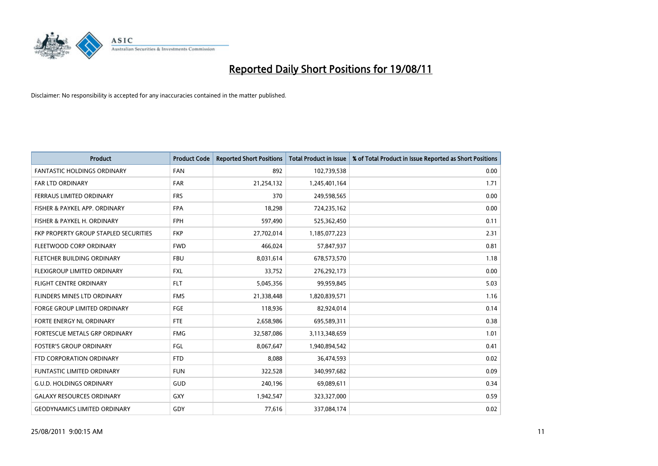

| <b>Product</b>                        | <b>Product Code</b> | <b>Reported Short Positions</b> | <b>Total Product in Issue</b> | % of Total Product in Issue Reported as Short Positions |
|---------------------------------------|---------------------|---------------------------------|-------------------------------|---------------------------------------------------------|
| <b>FANTASTIC HOLDINGS ORDINARY</b>    | <b>FAN</b>          | 892                             | 102,739,538                   | 0.00                                                    |
| FAR LTD ORDINARY                      | <b>FAR</b>          | 21,254,132                      | 1,245,401,164                 | 1.71                                                    |
| <b>FERRAUS LIMITED ORDINARY</b>       | <b>FRS</b>          | 370                             | 249,598,565                   | 0.00                                                    |
| FISHER & PAYKEL APP. ORDINARY         | <b>FPA</b>          | 18,298                          | 724,235,162                   | 0.00                                                    |
| FISHER & PAYKEL H. ORDINARY           | <b>FPH</b>          | 597,490                         | 525,362,450                   | 0.11                                                    |
| FKP PROPERTY GROUP STAPLED SECURITIES | <b>FKP</b>          | 27,702,014                      | 1,185,077,223                 | 2.31                                                    |
| FLEETWOOD CORP ORDINARY               | <b>FWD</b>          | 466,024                         | 57,847,937                    | 0.81                                                    |
| FLETCHER BUILDING ORDINARY            | <b>FBU</b>          | 8,031,614                       | 678,573,570                   | 1.18                                                    |
| FLEXIGROUP LIMITED ORDINARY           | <b>FXL</b>          | 33,752                          | 276,292,173                   | 0.00                                                    |
| <b>FLIGHT CENTRE ORDINARY</b>         | <b>FLT</b>          | 5,045,356                       | 99,959,845                    | 5.03                                                    |
| FLINDERS MINES LTD ORDINARY           | <b>FMS</b>          | 21,338,448                      | 1,820,839,571                 | 1.16                                                    |
| <b>FORGE GROUP LIMITED ORDINARY</b>   | <b>FGE</b>          | 118,936                         | 82,924,014                    | 0.14                                                    |
| FORTE ENERGY NL ORDINARY              | <b>FTE</b>          | 2,658,986                       | 695,589,311                   | 0.38                                                    |
| FORTESCUE METALS GRP ORDINARY         | <b>FMG</b>          | 32,587,086                      | 3,113,348,659                 | 1.01                                                    |
| <b>FOSTER'S GROUP ORDINARY</b>        | <b>FGL</b>          | 8,067,647                       | 1,940,894,542                 | 0.41                                                    |
| FTD CORPORATION ORDINARY              | <b>FTD</b>          | 8,088                           | 36,474,593                    | 0.02                                                    |
| FUNTASTIC LIMITED ORDINARY            | <b>FUN</b>          | 322,528                         | 340,997,682                   | 0.09                                                    |
| <b>G.U.D. HOLDINGS ORDINARY</b>       | <b>GUD</b>          | 240,196                         | 69,089,611                    | 0.34                                                    |
| <b>GALAXY RESOURCES ORDINARY</b>      | GXY                 | 1,942,547                       | 323,327,000                   | 0.59                                                    |
| <b>GEODYNAMICS LIMITED ORDINARY</b>   | GDY                 | 77,616                          | 337,084,174                   | 0.02                                                    |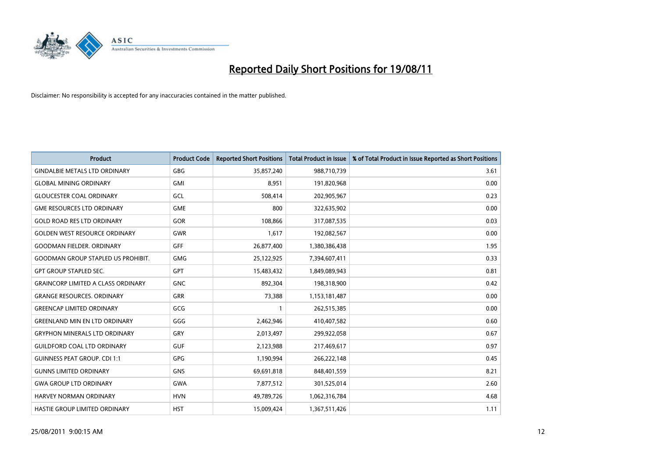

| <b>Product</b>                            | <b>Product Code</b> | <b>Reported Short Positions</b> | <b>Total Product in Issue</b> | % of Total Product in Issue Reported as Short Positions |
|-------------------------------------------|---------------------|---------------------------------|-------------------------------|---------------------------------------------------------|
| <b>GINDALBIE METALS LTD ORDINARY</b>      | <b>GBG</b>          | 35,857,240                      | 988,710,739                   | 3.61                                                    |
| <b>GLOBAL MINING ORDINARY</b>             | <b>GMI</b>          | 8,951                           | 191,820,968                   | 0.00                                                    |
| <b>GLOUCESTER COAL ORDINARY</b>           | GCL                 | 508,414                         | 202,905,967                   | 0.23                                                    |
| <b>GME RESOURCES LTD ORDINARY</b>         | <b>GME</b>          | 800                             | 322,635,902                   | 0.00                                                    |
| <b>GOLD ROAD RES LTD ORDINARY</b>         | GOR                 | 108,866                         | 317,087,535                   | 0.03                                                    |
| <b>GOLDEN WEST RESOURCE ORDINARY</b>      | <b>GWR</b>          | 1,617                           | 192,082,567                   | 0.00                                                    |
| <b>GOODMAN FIELDER, ORDINARY</b>          | <b>GFF</b>          | 26,877,400                      | 1,380,386,438                 | 1.95                                                    |
| <b>GOODMAN GROUP STAPLED US PROHIBIT.</b> | <b>GMG</b>          | 25,122,925                      | 7,394,607,411                 | 0.33                                                    |
| <b>GPT GROUP STAPLED SEC.</b>             | <b>GPT</b>          | 15,483,432                      | 1,849,089,943                 | 0.81                                                    |
| <b>GRAINCORP LIMITED A CLASS ORDINARY</b> | <b>GNC</b>          | 892,304                         | 198,318,900                   | 0.42                                                    |
| <b>GRANGE RESOURCES. ORDINARY</b>         | <b>GRR</b>          | 73,388                          | 1,153,181,487                 | 0.00                                                    |
| <b>GREENCAP LIMITED ORDINARY</b>          | GCG                 |                                 | 262,515,385                   | 0.00                                                    |
| <b>GREENLAND MIN EN LTD ORDINARY</b>      | GGG                 | 2,462,946                       | 410,407,582                   | 0.60                                                    |
| <b>GRYPHON MINERALS LTD ORDINARY</b>      | GRY                 | 2,013,497                       | 299,922,058                   | 0.67                                                    |
| <b>GUILDFORD COAL LTD ORDINARY</b>        | <b>GUF</b>          | 2,123,988                       | 217,469,617                   | 0.97                                                    |
| <b>GUINNESS PEAT GROUP. CDI 1:1</b>       | GPG                 | 1,190,994                       | 266,222,148                   | 0.45                                                    |
| <b>GUNNS LIMITED ORDINARY</b>             | <b>GNS</b>          | 69,691,818                      | 848,401,559                   | 8.21                                                    |
| <b>GWA GROUP LTD ORDINARY</b>             | <b>GWA</b>          | 7,877,512                       | 301,525,014                   | 2.60                                                    |
| HARVEY NORMAN ORDINARY                    | <b>HVN</b>          | 49,789,726                      | 1,062,316,784                 | 4.68                                                    |
| HASTIE GROUP LIMITED ORDINARY             | <b>HST</b>          | 15,009,424                      | 1,367,511,426                 | 1.11                                                    |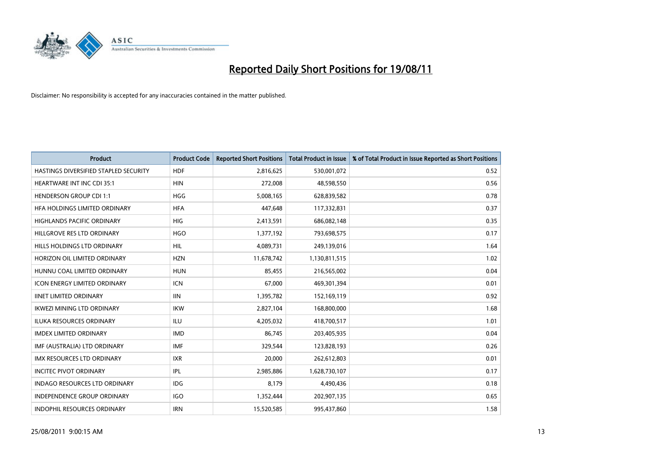

| <b>Product</b>                        | <b>Product Code</b> | <b>Reported Short Positions</b> | <b>Total Product in Issue</b> | % of Total Product in Issue Reported as Short Positions |
|---------------------------------------|---------------------|---------------------------------|-------------------------------|---------------------------------------------------------|
| HASTINGS DIVERSIFIED STAPLED SECURITY | <b>HDF</b>          | 2,816,625                       | 530,001,072                   | 0.52                                                    |
| <b>HEARTWARE INT INC CDI 35:1</b>     | <b>HIN</b>          | 272,008                         | 48,598,550                    | 0.56                                                    |
| <b>HENDERSON GROUP CDI 1:1</b>        | <b>HGG</b>          | 5,008,165                       | 628,839,582                   | 0.78                                                    |
| HFA HOLDINGS LIMITED ORDINARY         | <b>HFA</b>          | 447,648                         | 117,332,831                   | 0.37                                                    |
| <b>HIGHLANDS PACIFIC ORDINARY</b>     | <b>HIG</b>          | 2,413,591                       | 686,082,148                   | 0.35                                                    |
| HILLGROVE RES LTD ORDINARY            | <b>HGO</b>          | 1,377,192                       | 793,698,575                   | 0.17                                                    |
| HILLS HOLDINGS LTD ORDINARY           | HIL.                | 4,089,731                       | 249,139,016                   | 1.64                                                    |
| HORIZON OIL LIMITED ORDINARY          | <b>HZN</b>          | 11,678,742                      | 1,130,811,515                 | 1.02                                                    |
| HUNNU COAL LIMITED ORDINARY           | <b>HUN</b>          | 85,455                          | 216,565,002                   | 0.04                                                    |
| <b>ICON ENERGY LIMITED ORDINARY</b>   | <b>ICN</b>          | 67,000                          | 469,301,394                   | 0.01                                                    |
| <b>IINET LIMITED ORDINARY</b>         | <b>IIN</b>          | 1,395,782                       | 152,169,119                   | 0.92                                                    |
| <b>IKWEZI MINING LTD ORDINARY</b>     | <b>IKW</b>          | 2,827,104                       | 168,800,000                   | 1.68                                                    |
| ILUKA RESOURCES ORDINARY              | <b>ILU</b>          | 4,205,032                       | 418,700,517                   | 1.01                                                    |
| <b>IMDEX LIMITED ORDINARY</b>         | <b>IMD</b>          | 86,745                          | 203,405,935                   | 0.04                                                    |
| IMF (AUSTRALIA) LTD ORDINARY          | <b>IMF</b>          | 329,544                         | 123,828,193                   | 0.26                                                    |
| <b>IMX RESOURCES LTD ORDINARY</b>     | <b>IXR</b>          | 20,000                          | 262,612,803                   | 0.01                                                    |
| <b>INCITEC PIVOT ORDINARY</b>         | IPL                 | 2,985,886                       | 1,628,730,107                 | 0.17                                                    |
| INDAGO RESOURCES LTD ORDINARY         | <b>IDG</b>          | 8,179                           | 4,490,436                     | 0.18                                                    |
| <b>INDEPENDENCE GROUP ORDINARY</b>    | <b>IGO</b>          | 1,352,444                       | 202,907,135                   | 0.65                                                    |
| INDOPHIL RESOURCES ORDINARY           | <b>IRN</b>          | 15,520,585                      | 995,437,860                   | 1.58                                                    |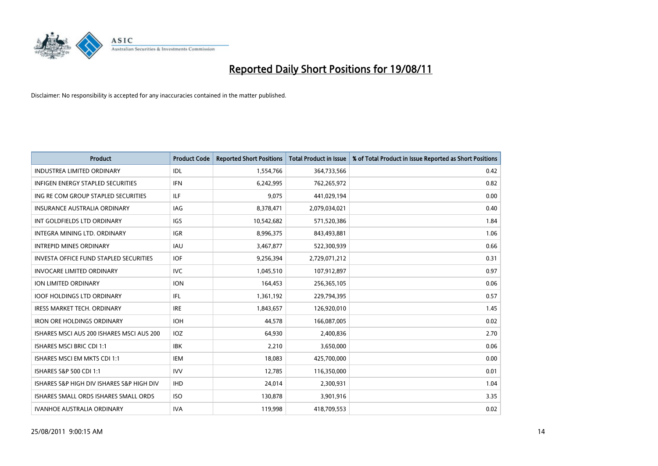

| <b>Product</b>                                | <b>Product Code</b> | <b>Reported Short Positions</b> | <b>Total Product in Issue</b> | % of Total Product in Issue Reported as Short Positions |
|-----------------------------------------------|---------------------|---------------------------------|-------------------------------|---------------------------------------------------------|
| <b>INDUSTREA LIMITED ORDINARY</b>             | IDL                 | 1,554,766                       | 364,733,566                   | 0.42                                                    |
| <b>INFIGEN ENERGY STAPLED SECURITIES</b>      | <b>IFN</b>          | 6,242,995                       | 762,265,972                   | 0.82                                                    |
| ING RE COM GROUP STAPLED SECURITIES           | ILF                 | 9,075                           | 441,029,194                   | 0.00                                                    |
| INSURANCE AUSTRALIA ORDINARY                  | IAG                 | 8,378,471                       | 2,079,034,021                 | 0.40                                                    |
| INT GOLDFIELDS LTD ORDINARY                   | <b>IGS</b>          | 10,542,682                      | 571,520,386                   | 1.84                                                    |
| INTEGRA MINING LTD. ORDINARY                  | <b>IGR</b>          | 8,996,375                       | 843,493,881                   | 1.06                                                    |
| <b>INTREPID MINES ORDINARY</b>                | <b>IAU</b>          | 3,467,877                       | 522,300,939                   | 0.66                                                    |
| <b>INVESTA OFFICE FUND STAPLED SECURITIES</b> | <b>IOF</b>          | 9,256,394                       | 2,729,071,212                 | 0.31                                                    |
| <b>INVOCARE LIMITED ORDINARY</b>              | <b>IVC</b>          | 1,045,510                       | 107,912,897                   | 0.97                                                    |
| <b>ION LIMITED ORDINARY</b>                   | <b>ION</b>          | 164,453                         | 256,365,105                   | 0.06                                                    |
| <b>IOOF HOLDINGS LTD ORDINARY</b>             | IFL.                | 1,361,192                       | 229,794,395                   | 0.57                                                    |
| <b>IRESS MARKET TECH. ORDINARY</b>            | <b>IRE</b>          | 1,843,657                       | 126,920,010                   | 1.45                                                    |
| <b>IRON ORE HOLDINGS ORDINARY</b>             | <b>IOH</b>          | 44.578                          | 166,087,005                   | 0.02                                                    |
| ISHARES MSCI AUS 200 ISHARES MSCI AUS 200     | <b>IOZ</b>          | 64,930                          | 2,400,836                     | 2.70                                                    |
| ISHARES MSCI BRIC CDI 1:1                     | <b>IBK</b>          | 2,210                           | 3,650,000                     | 0.06                                                    |
| ISHARES MSCI EM MKTS CDI 1:1                  | <b>IEM</b>          | 18,083                          | 425,700,000                   | 0.00                                                    |
| ISHARES S&P 500 CDI 1:1                       | <b>IVV</b>          | 12,785                          | 116,350,000                   | 0.01                                                    |
| ISHARES S&P HIGH DIV ISHARES S&P HIGH DIV     | <b>IHD</b>          | 24,014                          | 2,300,931                     | 1.04                                                    |
| ISHARES SMALL ORDS ISHARES SMALL ORDS         | <b>ISO</b>          | 130,878                         | 3,901,916                     | 3.35                                                    |
| <b>IVANHOE AUSTRALIA ORDINARY</b>             | <b>IVA</b>          | 119.998                         | 418,709,553                   | 0.02                                                    |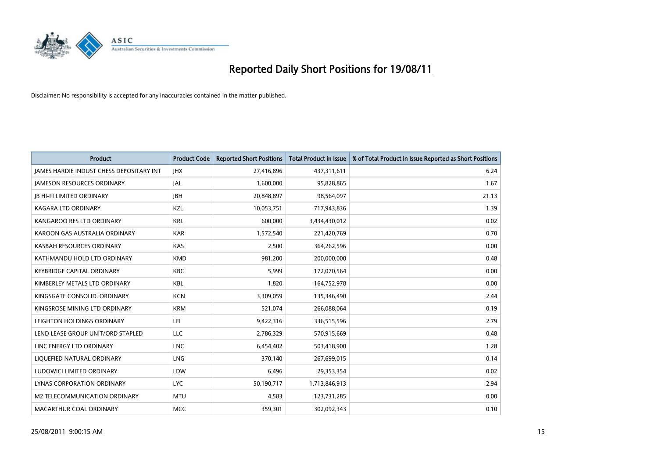

| <b>Product</b>                                  | <b>Product Code</b> | <b>Reported Short Positions</b> | <b>Total Product in Issue</b> | % of Total Product in Issue Reported as Short Positions |
|-------------------------------------------------|---------------------|---------------------------------|-------------------------------|---------------------------------------------------------|
| <b>JAMES HARDIE INDUST CHESS DEPOSITARY INT</b> | <b>JHX</b>          | 27,416,896                      | 437,311,611                   | 6.24                                                    |
| <b>JAMESON RESOURCES ORDINARY</b>               | <b>JAL</b>          | 1,600,000                       | 95,828,865                    | 1.67                                                    |
| <b>JB HI-FI LIMITED ORDINARY</b>                | <b>IBH</b>          | 20,848,897                      | 98,564,097                    | 21.13                                                   |
| <b>KAGARA LTD ORDINARY</b>                      | KZL                 | 10,053,751                      | 717,943,836                   | 1.39                                                    |
| KANGAROO RES LTD ORDINARY                       | <b>KRL</b>          | 600.000                         | 3,434,430,012                 | 0.02                                                    |
| KAROON GAS AUSTRALIA ORDINARY                   | <b>KAR</b>          | 1,572,540                       | 221,420,769                   | 0.70                                                    |
| KASBAH RESOURCES ORDINARY                       | KAS                 | 2,500                           | 364,262,596                   | 0.00                                                    |
| KATHMANDU HOLD LTD ORDINARY                     | <b>KMD</b>          | 981,200                         | 200,000,000                   | 0.48                                                    |
| <b>KEYBRIDGE CAPITAL ORDINARY</b>               | <b>KBC</b>          | 5,999                           | 172,070,564                   | 0.00                                                    |
| KIMBERLEY METALS LTD ORDINARY                   | <b>KBL</b>          | 1,820                           | 164,752,978                   | 0.00                                                    |
| KINGSGATE CONSOLID, ORDINARY                    | <b>KCN</b>          | 3,309,059                       | 135,346,490                   | 2.44                                                    |
| KINGSROSE MINING LTD ORDINARY                   | <b>KRM</b>          | 521,074                         | 266,088,064                   | 0.19                                                    |
| LEIGHTON HOLDINGS ORDINARY                      | LEI                 | 9,422,316                       | 336,515,596                   | 2.79                                                    |
| LEND LEASE GROUP UNIT/ORD STAPLED               | LLC                 | 2,786,329                       | 570,915,669                   | 0.48                                                    |
| LINC ENERGY LTD ORDINARY                        | <b>LNC</b>          | 6,454,402                       | 503,418,900                   | 1.28                                                    |
| LIQUEFIED NATURAL ORDINARY                      | <b>LNG</b>          | 370.140                         | 267,699,015                   | 0.14                                                    |
| LUDOWICI LIMITED ORDINARY                       | LDW                 | 6,496                           | 29,353,354                    | 0.02                                                    |
| LYNAS CORPORATION ORDINARY                      | <b>LYC</b>          | 50,190,717                      | 1,713,846,913                 | 2.94                                                    |
| M2 TELECOMMUNICATION ORDINARY                   | <b>MTU</b>          | 4,583                           | 123,731,285                   | 0.00                                                    |
| MACARTHUR COAL ORDINARY                         | <b>MCC</b>          | 359,301                         | 302,092,343                   | 0.10                                                    |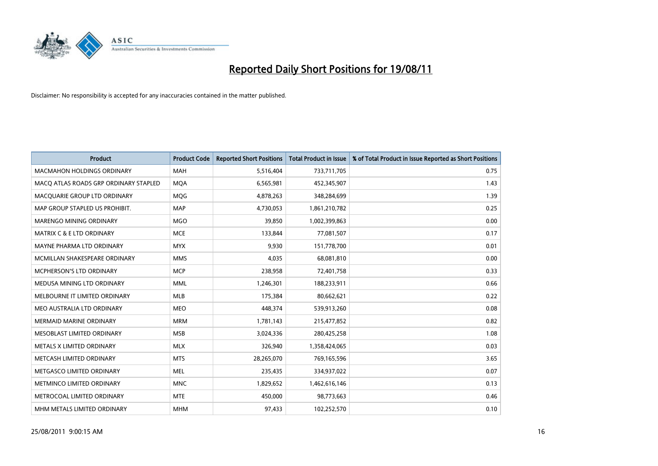

| <b>Product</b>                        | <b>Product Code</b> | <b>Reported Short Positions</b> | Total Product in Issue | % of Total Product in Issue Reported as Short Positions |
|---------------------------------------|---------------------|---------------------------------|------------------------|---------------------------------------------------------|
| <b>MACMAHON HOLDINGS ORDINARY</b>     | <b>MAH</b>          | 5,516,404                       | 733,711,705            | 0.75                                                    |
| MACO ATLAS ROADS GRP ORDINARY STAPLED | <b>MQA</b>          | 6,565,981                       | 452,345,907            | 1.43                                                    |
| MACQUARIE GROUP LTD ORDINARY          | MQG                 | 4,878,263                       | 348,284,699            | 1.39                                                    |
| MAP GROUP STAPLED US PROHIBIT.        | <b>MAP</b>          | 4,730,053                       | 1,861,210,782          | 0.25                                                    |
| <b>MARENGO MINING ORDINARY</b>        | <b>MGO</b>          | 39,850                          | 1,002,399,863          | 0.00                                                    |
| <b>MATRIX C &amp; E LTD ORDINARY</b>  | <b>MCE</b>          | 133,844                         | 77,081,507             | 0.17                                                    |
| MAYNE PHARMA LTD ORDINARY             | <b>MYX</b>          | 9,930                           | 151,778,700            | 0.01                                                    |
| MCMILLAN SHAKESPEARE ORDINARY         | <b>MMS</b>          | 4,035                           | 68,081,810             | 0.00                                                    |
| <b>MCPHERSON'S LTD ORDINARY</b>       | <b>MCP</b>          | 238,958                         | 72,401,758             | 0.33                                                    |
| MEDUSA MINING LTD ORDINARY            | <b>MML</b>          | 1,246,301                       | 188,233,911            | 0.66                                                    |
| MELBOURNE IT LIMITED ORDINARY         | <b>MLB</b>          | 175,384                         | 80,662,621             | 0.22                                                    |
| MEO AUSTRALIA LTD ORDINARY            | <b>MEO</b>          | 448,374                         | 539,913,260            | 0.08                                                    |
| <b>MERMAID MARINE ORDINARY</b>        | <b>MRM</b>          | 1,781,143                       | 215,477,852            | 0.82                                                    |
| MESOBLAST LIMITED ORDINARY            | <b>MSB</b>          | 3,024,336                       | 280,425,258            | 1.08                                                    |
| METALS X LIMITED ORDINARY             | <b>MLX</b>          | 326,940                         | 1,358,424,065          | 0.03                                                    |
| METCASH LIMITED ORDINARY              | <b>MTS</b>          | 28,265,070                      | 769,165,596            | 3.65                                                    |
| METGASCO LIMITED ORDINARY             | <b>MEL</b>          | 235,435                         | 334,937,022            | 0.07                                                    |
| METMINCO LIMITED ORDINARY             | <b>MNC</b>          | 1,829,652                       | 1,462,616,146          | 0.13                                                    |
| METROCOAL LIMITED ORDINARY            | <b>MTE</b>          | 450,000                         | 98,773,663             | 0.46                                                    |
| MHM METALS LIMITED ORDINARY           | <b>MHM</b>          | 97,433                          | 102,252,570            | 0.10                                                    |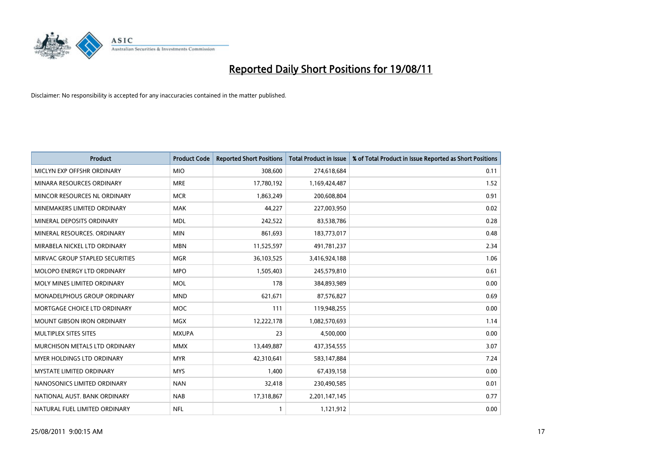

| <b>Product</b>                    | <b>Product Code</b> | <b>Reported Short Positions</b> | Total Product in Issue | % of Total Product in Issue Reported as Short Positions |
|-----------------------------------|---------------------|---------------------------------|------------------------|---------------------------------------------------------|
| MICLYN EXP OFFSHR ORDINARY        | <b>MIO</b>          | 308,600                         | 274,618,684            | 0.11                                                    |
| MINARA RESOURCES ORDINARY         | <b>MRE</b>          | 17,780,192                      | 1,169,424,487          | 1.52                                                    |
| MINCOR RESOURCES NL ORDINARY      | <b>MCR</b>          | 1,863,249                       | 200,608,804            | 0.91                                                    |
| MINEMAKERS LIMITED ORDINARY       | <b>MAK</b>          | 44,227                          | 227,003,950            | 0.02                                                    |
| MINERAL DEPOSITS ORDINARY         | <b>MDL</b>          | 242,522                         | 83,538,786             | 0.28                                                    |
| MINERAL RESOURCES. ORDINARY       | <b>MIN</b>          | 861,693                         | 183,773,017            | 0.48                                                    |
| MIRABELA NICKEL LTD ORDINARY      | <b>MBN</b>          | 11,525,597                      | 491,781,237            | 2.34                                                    |
| MIRVAC GROUP STAPLED SECURITIES   | <b>MGR</b>          | 36,103,525                      | 3,416,924,188          | 1.06                                                    |
| MOLOPO ENERGY LTD ORDINARY        | <b>MPO</b>          | 1,505,403                       | 245,579,810            | 0.61                                                    |
| MOLY MINES LIMITED ORDINARY       | <b>MOL</b>          | 178                             | 384,893,989            | 0.00                                                    |
| MONADELPHOUS GROUP ORDINARY       | <b>MND</b>          | 621,671                         | 87,576,827             | 0.69                                                    |
| MORTGAGE CHOICE LTD ORDINARY      | MOC                 | 111                             | 119,948,255            | 0.00                                                    |
| <b>MOUNT GIBSON IRON ORDINARY</b> | <b>MGX</b>          | 12,222,178                      | 1,082,570,693          | 1.14                                                    |
| MULTIPLEX SITES SITES             | <b>MXUPA</b>        | 23                              | 4,500,000              | 0.00                                                    |
| MURCHISON METALS LTD ORDINARY     | <b>MMX</b>          | 13,449,887                      | 437,354,555            | 3.07                                                    |
| MYER HOLDINGS LTD ORDINARY        | <b>MYR</b>          | 42,310,641                      | 583,147,884            | 7.24                                                    |
| MYSTATE LIMITED ORDINARY          | <b>MYS</b>          | 1,400                           | 67,439,158             | 0.00                                                    |
| NANOSONICS LIMITED ORDINARY       | <b>NAN</b>          | 32,418                          | 230,490,585            | 0.01                                                    |
| NATIONAL AUST. BANK ORDINARY      | <b>NAB</b>          | 17,318,867                      | 2,201,147,145          | 0.77                                                    |
| NATURAL FUEL LIMITED ORDINARY     | <b>NFL</b>          |                                 | 1,121,912              | 0.00                                                    |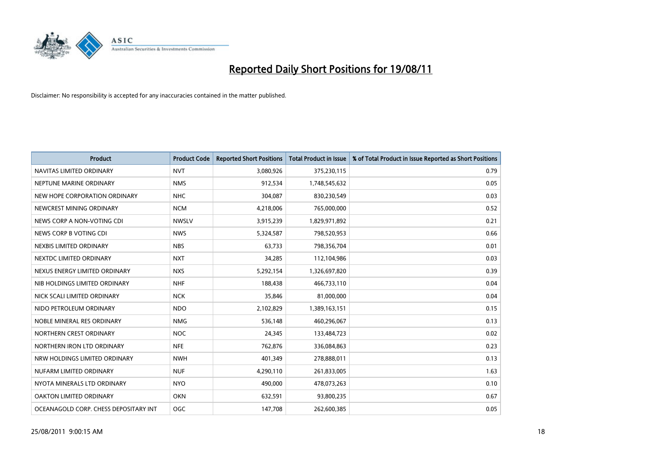

| <b>Product</b>                        | <b>Product Code</b> | <b>Reported Short Positions</b> | <b>Total Product in Issue</b> | % of Total Product in Issue Reported as Short Positions |
|---------------------------------------|---------------------|---------------------------------|-------------------------------|---------------------------------------------------------|
| NAVITAS LIMITED ORDINARY              | <b>NVT</b>          | 3,080,926                       | 375,230,115                   | 0.79                                                    |
| NEPTUNE MARINE ORDINARY               | <b>NMS</b>          | 912,534                         | 1,748,545,632                 | 0.05                                                    |
| NEW HOPE CORPORATION ORDINARY         | <b>NHC</b>          | 304,087                         | 830,230,549                   | 0.03                                                    |
| NEWCREST MINING ORDINARY              | <b>NCM</b>          | 4,218,006                       | 765,000,000                   | 0.52                                                    |
| NEWS CORP A NON-VOTING CDI            | <b>NWSLV</b>        | 3,915,239                       | 1,829,971,892                 | 0.21                                                    |
| NEWS CORP B VOTING CDI                | <b>NWS</b>          | 5,324,587                       | 798,520,953                   | 0.66                                                    |
| NEXBIS LIMITED ORDINARY               | <b>NBS</b>          | 63,733                          | 798,356,704                   | 0.01                                                    |
| NEXTDC LIMITED ORDINARY               | <b>NXT</b>          | 34,285                          | 112,104,986                   | 0.03                                                    |
| NEXUS ENERGY LIMITED ORDINARY         | <b>NXS</b>          | 5,292,154                       | 1,326,697,820                 | 0.39                                                    |
| NIB HOLDINGS LIMITED ORDINARY         | <b>NHF</b>          | 188,438                         | 466,733,110                   | 0.04                                                    |
| NICK SCALI LIMITED ORDINARY           | <b>NCK</b>          | 35,846                          | 81,000,000                    | 0.04                                                    |
| NIDO PETROLEUM ORDINARY               | <b>NDO</b>          | 2,102,829                       | 1,389,163,151                 | 0.15                                                    |
| NOBLE MINERAL RES ORDINARY            | <b>NMG</b>          | 536,148                         | 460,296,067                   | 0.13                                                    |
| NORTHERN CREST ORDINARY               | <b>NOC</b>          | 24,345                          | 133,484,723                   | 0.02                                                    |
| NORTHERN IRON LTD ORDINARY            | <b>NFE</b>          | 762,876                         | 336,084,863                   | 0.23                                                    |
| NRW HOLDINGS LIMITED ORDINARY         | <b>NWH</b>          | 401,349                         | 278,888,011                   | 0.13                                                    |
| NUFARM LIMITED ORDINARY               | <b>NUF</b>          | 4,290,110                       | 261,833,005                   | 1.63                                                    |
| NYOTA MINERALS LTD ORDINARY           | <b>NYO</b>          | 490,000                         | 478,073,263                   | 0.10                                                    |
| OAKTON LIMITED ORDINARY               | <b>OKN</b>          | 632,591                         | 93,800,235                    | 0.67                                                    |
| OCEANAGOLD CORP. CHESS DEPOSITARY INT | OGC                 | 147,708                         | 262,600,385                   | 0.05                                                    |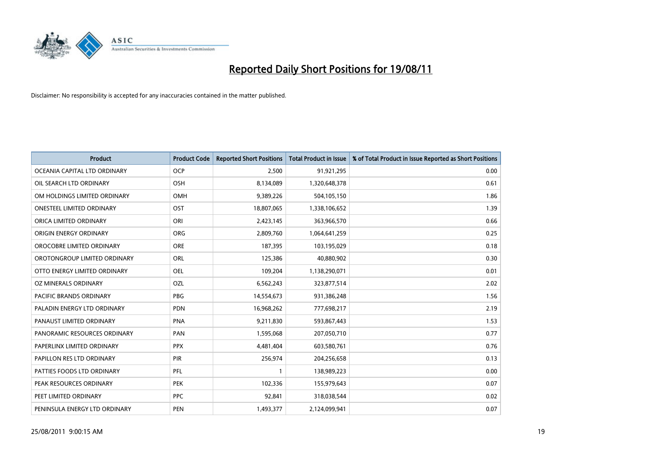

| <b>Product</b>                 | <b>Product Code</b> | <b>Reported Short Positions</b> | <b>Total Product in Issue</b> | % of Total Product in Issue Reported as Short Positions |
|--------------------------------|---------------------|---------------------------------|-------------------------------|---------------------------------------------------------|
| OCEANIA CAPITAL LTD ORDINARY   | <b>OCP</b>          | 2,500                           | 91,921,295                    | 0.00                                                    |
| OIL SEARCH LTD ORDINARY        | <b>OSH</b>          | 8,134,089                       | 1,320,648,378                 | 0.61                                                    |
| OM HOLDINGS LIMITED ORDINARY   | <b>OMH</b>          | 9,389,226                       | 504,105,150                   | 1.86                                                    |
| ONESTEEL LIMITED ORDINARY      | OST                 | 18,807,065                      | 1,338,106,652                 | 1.39                                                    |
| ORICA LIMITED ORDINARY         | ORI                 | 2,423,145                       | 363,966,570                   | 0.66                                                    |
| ORIGIN ENERGY ORDINARY         | <b>ORG</b>          | 2,809,760                       | 1,064,641,259                 | 0.25                                                    |
| OROCOBRE LIMITED ORDINARY      | <b>ORE</b>          | 187,395                         | 103,195,029                   | 0.18                                                    |
| OROTONGROUP LIMITED ORDINARY   | ORL                 | 125,386                         | 40,880,902                    | 0.30                                                    |
| OTTO ENERGY LIMITED ORDINARY   | <b>OEL</b>          | 109,204                         | 1,138,290,071                 | 0.01                                                    |
| OZ MINERALS ORDINARY           | <b>OZL</b>          | 6,562,243                       | 323,877,514                   | 2.02                                                    |
| <b>PACIFIC BRANDS ORDINARY</b> | <b>PBG</b>          | 14,554,673                      | 931,386,248                   | 1.56                                                    |
| PALADIN ENERGY LTD ORDINARY    | PDN                 | 16,968,262                      | 777,698,217                   | 2.19                                                    |
| PANAUST LIMITED ORDINARY       | <b>PNA</b>          | 9,211,830                       | 593,867,443                   | 1.53                                                    |
| PANORAMIC RESOURCES ORDINARY   | PAN                 | 1,595,068                       | 207,050,710                   | 0.77                                                    |
| PAPERLINX LIMITED ORDINARY     | <b>PPX</b>          | 4,481,404                       | 603,580,761                   | 0.76                                                    |
| PAPILLON RES LTD ORDINARY      | <b>PIR</b>          | 256,974                         | 204,256,658                   | 0.13                                                    |
| PATTIES FOODS LTD ORDINARY     | PFL                 |                                 | 138,989,223                   | 0.00                                                    |
| PEAK RESOURCES ORDINARY        | <b>PEK</b>          | 102,336                         | 155,979,643                   | 0.07                                                    |
| PEET LIMITED ORDINARY          | <b>PPC</b>          | 92,841                          | 318,038,544                   | 0.02                                                    |
| PENINSULA ENERGY LTD ORDINARY  | <b>PEN</b>          | 1,493,377                       | 2,124,099,941                 | 0.07                                                    |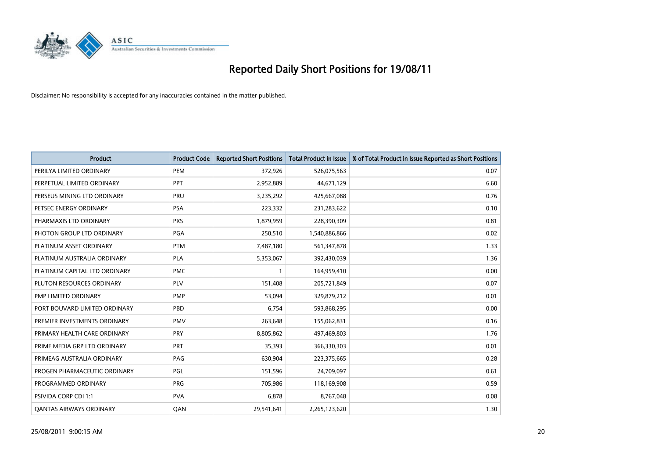

| <b>Product</b>                 | <b>Product Code</b> | <b>Reported Short Positions</b> | Total Product in Issue | % of Total Product in Issue Reported as Short Positions |
|--------------------------------|---------------------|---------------------------------|------------------------|---------------------------------------------------------|
| PERILYA LIMITED ORDINARY       | PEM                 | 372,926                         | 526,075,563            | 0.07                                                    |
| PERPETUAL LIMITED ORDINARY     | PPT                 | 2,952,889                       | 44,671,129             | 6.60                                                    |
| PERSEUS MINING LTD ORDINARY    | PRU                 | 3,235,292                       | 425,667,088            | 0.76                                                    |
| PETSEC ENERGY ORDINARY         | <b>PSA</b>          | 223,332                         | 231,283,622            | 0.10                                                    |
| PHARMAXIS LTD ORDINARY         | <b>PXS</b>          | 1,879,959                       | 228,390,309            | 0.81                                                    |
| PHOTON GROUP LTD ORDINARY      | PGA                 | 250,510                         | 1,540,886,866          | 0.02                                                    |
| PLATINUM ASSET ORDINARY        | <b>PTM</b>          | 7,487,180                       | 561,347,878            | 1.33                                                    |
| PLATINUM AUSTRALIA ORDINARY    | <b>PLA</b>          | 5,353,067                       | 392,430,039            | 1.36                                                    |
| PLATINUM CAPITAL LTD ORDINARY  | <b>PMC</b>          |                                 | 164,959,410            | 0.00                                                    |
| PLUTON RESOURCES ORDINARY      | <b>PLV</b>          | 151,408                         | 205,721,849            | 0.07                                                    |
| PMP LIMITED ORDINARY           | <b>PMP</b>          | 53,094                          | 329,879,212            | 0.01                                                    |
| PORT BOUVARD LIMITED ORDINARY  | PBD                 | 6,754                           | 593,868,295            | 0.00                                                    |
| PREMIER INVESTMENTS ORDINARY   | <b>PMV</b>          | 263,648                         | 155,062,831            | 0.16                                                    |
| PRIMARY HEALTH CARE ORDINARY   | PRY                 | 8,805,862                       | 497,469,803            | 1.76                                                    |
| PRIME MEDIA GRP LTD ORDINARY   | <b>PRT</b>          | 35,393                          | 366,330,303            | 0.01                                                    |
| PRIMEAG AUSTRALIA ORDINARY     | PAG                 | 630,904                         | 223,375,665            | 0.28                                                    |
| PROGEN PHARMACEUTIC ORDINARY   | PGL                 | 151,596                         | 24,709,097             | 0.61                                                    |
| PROGRAMMED ORDINARY            | <b>PRG</b>          | 705,986                         | 118,169,908            | 0.59                                                    |
| PSIVIDA CORP CDI 1:1           | <b>PVA</b>          | 6,878                           | 8,767,048              | 0.08                                                    |
| <b>QANTAS AIRWAYS ORDINARY</b> | QAN                 | 29,541,641                      | 2,265,123,620          | 1.30                                                    |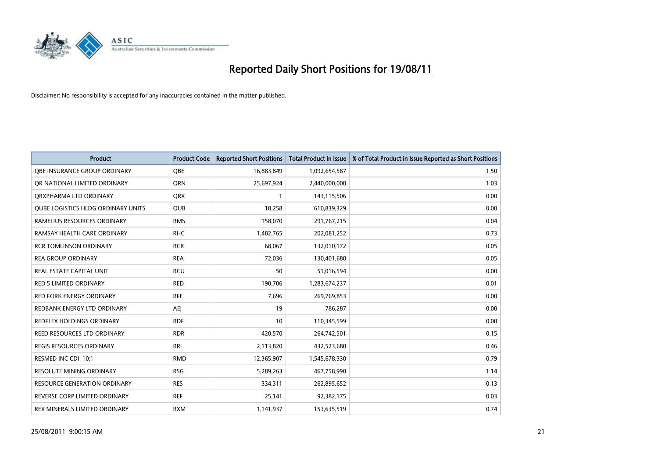

| <b>Product</b>                      | <b>Product Code</b> | <b>Reported Short Positions</b> | Total Product in Issue | % of Total Product in Issue Reported as Short Positions |
|-------------------------------------|---------------------|---------------------------------|------------------------|---------------------------------------------------------|
| <b>QBE INSURANCE GROUP ORDINARY</b> | QBE                 | 16,883,849                      | 1,092,654,587          | 1.50                                                    |
| OR NATIONAL LIMITED ORDINARY        | <b>ORN</b>          | 25,697,924                      | 2,440,000,000          | 1.03                                                    |
| ORXPHARMA LTD ORDINARY              | <b>QRX</b>          |                                 | 143,115,506            | 0.00                                                    |
| QUBE LOGISTICS HLDG ORDINARY UNITS  | <b>QUB</b>          | 18,258                          | 610,839,329            | 0.00                                                    |
| RAMELIUS RESOURCES ORDINARY         | <b>RMS</b>          | 158,070                         | 291,767,215            | 0.04                                                    |
| RAMSAY HEALTH CARE ORDINARY         | <b>RHC</b>          | 1,482,765                       | 202,081,252            | 0.73                                                    |
| <b>RCR TOMLINSON ORDINARY</b>       | <b>RCR</b>          | 68,067                          | 132,010,172            | 0.05                                                    |
| <b>REA GROUP ORDINARY</b>           | <b>REA</b>          | 72,036                          | 130,401,680            | 0.05                                                    |
| REAL ESTATE CAPITAL UNIT            | <b>RCU</b>          | 50                              | 51,016,594             | 0.00                                                    |
| <b>RED 5 LIMITED ORDINARY</b>       | <b>RED</b>          | 190,706                         | 1,283,674,237          | 0.01                                                    |
| RED FORK ENERGY ORDINARY            | <b>RFE</b>          | 7,696                           | 269,769,853            | 0.00                                                    |
| REDBANK ENERGY LTD ORDINARY         | <b>AEJ</b>          | 19                              | 786,287                | 0.00                                                    |
| REDFLEX HOLDINGS ORDINARY           | <b>RDF</b>          | 10                              | 110,345,599            | 0.00                                                    |
| REED RESOURCES LTD ORDINARY         | <b>RDR</b>          | 420,570                         | 264,742,501            | 0.15                                                    |
| REGIS RESOURCES ORDINARY            | <b>RRL</b>          | 2,113,820                       | 432,523,680            | 0.46                                                    |
| RESMED INC CDI 10:1                 | <b>RMD</b>          | 12,365,907                      | 1,545,678,330          | 0.79                                                    |
| <b>RESOLUTE MINING ORDINARY</b>     | <b>RSG</b>          | 5,289,263                       | 467,758,990            | 1.14                                                    |
| RESOURCE GENERATION ORDINARY        | <b>RES</b>          | 334,311                         | 262,895,652            | 0.13                                                    |
| REVERSE CORP LIMITED ORDINARY       | <b>REF</b>          | 25,141                          | 92,382,175             | 0.03                                                    |
| REX MINERALS LIMITED ORDINARY       | <b>RXM</b>          | 1,141,937                       | 153,635,519            | 0.74                                                    |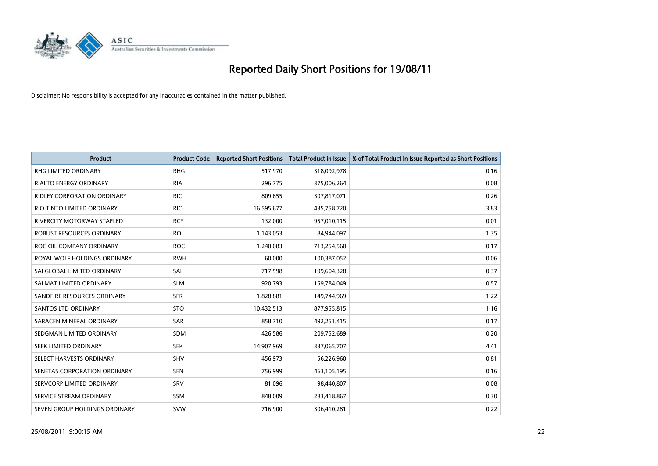

| <b>Product</b>                     | <b>Product Code</b> | <b>Reported Short Positions</b> | <b>Total Product in Issue</b> | % of Total Product in Issue Reported as Short Positions |
|------------------------------------|---------------------|---------------------------------|-------------------------------|---------------------------------------------------------|
| <b>RHG LIMITED ORDINARY</b>        | <b>RHG</b>          | 517,970                         | 318,092,978                   | 0.16                                                    |
| <b>RIALTO ENERGY ORDINARY</b>      | <b>RIA</b>          | 296,775                         | 375,006,264                   | 0.08                                                    |
| <b>RIDLEY CORPORATION ORDINARY</b> | <b>RIC</b>          | 809,655                         | 307,817,071                   | 0.26                                                    |
| RIO TINTO LIMITED ORDINARY         | <b>RIO</b>          | 16,595,677                      | 435,758,720                   | 3.83                                                    |
| <b>RIVERCITY MOTORWAY STAPLED</b>  | <b>RCY</b>          | 132.000                         | 957,010,115                   | 0.01                                                    |
| ROBUST RESOURCES ORDINARY          | <b>ROL</b>          | 1,143,053                       | 84,944,097                    | 1.35                                                    |
| ROC OIL COMPANY ORDINARY           | <b>ROC</b>          | 1,240,083                       | 713,254,560                   | 0.17                                                    |
| ROYAL WOLF HOLDINGS ORDINARY       | <b>RWH</b>          | 60,000                          | 100,387,052                   | 0.06                                                    |
| SAI GLOBAL LIMITED ORDINARY        | SAI                 | 717,598                         | 199,604,328                   | 0.37                                                    |
| SALMAT LIMITED ORDINARY            | <b>SLM</b>          | 920,793                         | 159,784,049                   | 0.57                                                    |
| SANDFIRE RESOURCES ORDINARY        | <b>SFR</b>          | 1,828,881                       | 149,744,969                   | 1.22                                                    |
| <b>SANTOS LTD ORDINARY</b>         | <b>STO</b>          | 10,432,513                      | 877,955,815                   | 1.16                                                    |
| SARACEN MINERAL ORDINARY           | <b>SAR</b>          | 858.710                         | 492,251,415                   | 0.17                                                    |
| SEDGMAN LIMITED ORDINARY           | <b>SDM</b>          | 426.586                         | 209,752,689                   | 0.20                                                    |
| SEEK LIMITED ORDINARY              | <b>SEK</b>          | 14,907,969                      | 337,065,707                   | 4.41                                                    |
| SELECT HARVESTS ORDINARY           | <b>SHV</b>          | 456,973                         | 56,226,960                    | 0.81                                                    |
| SENETAS CORPORATION ORDINARY       | <b>SEN</b>          | 756,999                         | 463,105,195                   | 0.16                                                    |
| SERVCORP LIMITED ORDINARY          | SRV                 | 81,096                          | 98,440,807                    | 0.08                                                    |
| SERVICE STREAM ORDINARY            | SSM                 | 848,009                         | 283,418,867                   | 0.30                                                    |
| SEVEN GROUP HOLDINGS ORDINARY      | <b>SVW</b>          | 716,900                         | 306.410.281                   | 0.22                                                    |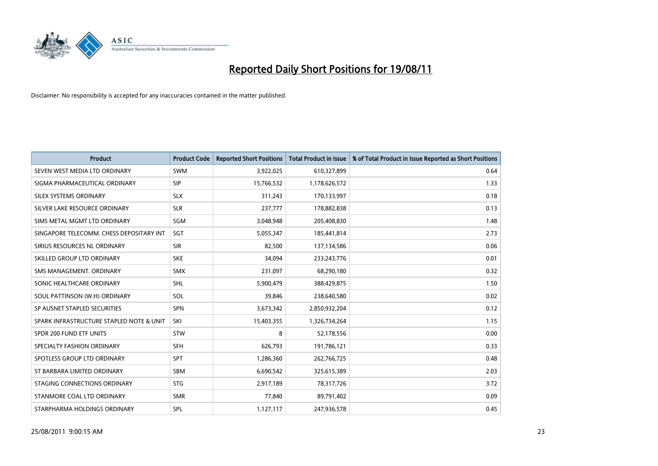

| <b>Product</b>                           | <b>Product Code</b> | <b>Reported Short Positions</b> | <b>Total Product in Issue</b> | % of Total Product in Issue Reported as Short Positions |
|------------------------------------------|---------------------|---------------------------------|-------------------------------|---------------------------------------------------------|
| SEVEN WEST MEDIA LTD ORDINARY            | <b>SWM</b>          | 3,922,025                       | 610,327,899                   | 0.64                                                    |
| SIGMA PHARMACEUTICAL ORDINARY            | <b>SIP</b>          | 15,766,532                      | 1,178,626,572                 | 1.33                                                    |
| SILEX SYSTEMS ORDINARY                   | <b>SLX</b>          | 311,243                         | 170,133,997                   | 0.18                                                    |
| SILVER LAKE RESOURCE ORDINARY            | <b>SLR</b>          | 237,777                         | 178,882,838                   | 0.13                                                    |
| SIMS METAL MGMT LTD ORDINARY             | SGM                 | 3,048,948                       | 205,408,830                   | 1.48                                                    |
| SINGAPORE TELECOMM. CHESS DEPOSITARY INT | SGT                 | 5,055,347                       | 185,441,814                   | 2.73                                                    |
| SIRIUS RESOURCES NL ORDINARY             | <b>SIR</b>          | 82,500                          | 137,134,586                   | 0.06                                                    |
| SKILLED GROUP LTD ORDINARY               | <b>SKE</b>          | 34,094                          | 233, 243, 776                 | 0.01                                                    |
| SMS MANAGEMENT, ORDINARY                 | <b>SMX</b>          | 231,097                         | 68,290,180                    | 0.32                                                    |
| SONIC HEALTHCARE ORDINARY                | <b>SHL</b>          | 5,900,479                       | 388,429,875                   | 1.50                                                    |
| SOUL PATTINSON (W.H) ORDINARY            | SOL                 | 39,846                          | 238,640,580                   | 0.02                                                    |
| SP AUSNET STAPLED SECURITIES             | <b>SPN</b>          | 3,673,342                       | 2,850,932,204                 | 0.12                                                    |
| SPARK INFRASTRUCTURE STAPLED NOTE & UNIT | SKI                 | 15,403,355                      | 1,326,734,264                 | 1.15                                                    |
| SPDR 200 FUND ETF UNITS                  | <b>STW</b>          | 8                               | 52,178,556                    | 0.00                                                    |
| SPECIALTY FASHION ORDINARY               | <b>SFH</b>          | 626,793                         | 191,786,121                   | 0.33                                                    |
| SPOTLESS GROUP LTD ORDINARY              | <b>SPT</b>          | 1,286,360                       | 262,766,725                   | 0.48                                                    |
| ST BARBARA LIMITED ORDINARY              | <b>SBM</b>          | 6,690,542                       | 325,615,389                   | 2.03                                                    |
| STAGING CONNECTIONS ORDINARY             | <b>STG</b>          | 2,917,189                       | 78,317,726                    | 3.72                                                    |
| STANMORE COAL LTD ORDINARY               | <b>SMR</b>          | 77,840                          | 89,791,402                    | 0.09                                                    |
| STARPHARMA HOLDINGS ORDINARY             | <b>SPL</b>          | 1,127,117                       | 247,936,578                   | 0.45                                                    |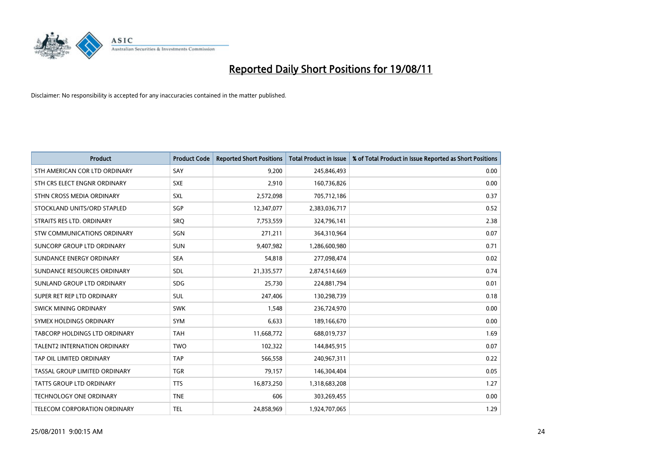

| <b>Product</b>                       | <b>Product Code</b> | <b>Reported Short Positions</b> | <b>Total Product in Issue</b> | % of Total Product in Issue Reported as Short Positions |
|--------------------------------------|---------------------|---------------------------------|-------------------------------|---------------------------------------------------------|
| STH AMERICAN COR LTD ORDINARY        | SAY                 | 9,200                           | 245,846,493                   | 0.00                                                    |
| STH CRS ELECT ENGNR ORDINARY         | <b>SXE</b>          | 2,910                           | 160,736,826                   | 0.00                                                    |
| STHN CROSS MEDIA ORDINARY            | <b>SXL</b>          | 2,572,098                       | 705,712,186                   | 0.37                                                    |
| STOCKLAND UNITS/ORD STAPLED          | SGP                 | 12,347,077                      | 2,383,036,717                 | 0.52                                                    |
| STRAITS RES LTD. ORDINARY            | <b>SRO</b>          | 7,753,559                       | 324,796,141                   | 2.38                                                    |
| <b>STW COMMUNICATIONS ORDINARY</b>   | SGN                 | 271,211                         | 364,310,964                   | 0.07                                                    |
| SUNCORP GROUP LTD ORDINARY           | <b>SUN</b>          | 9,407,982                       | 1,286,600,980                 | 0.71                                                    |
| SUNDANCE ENERGY ORDINARY             | <b>SEA</b>          | 54,818                          | 277,098,474                   | 0.02                                                    |
| SUNDANCE RESOURCES ORDINARY          | <b>SDL</b>          | 21,335,577                      | 2,874,514,669                 | 0.74                                                    |
| SUNLAND GROUP LTD ORDINARY           | <b>SDG</b>          | 25,730                          | 224,881,794                   | 0.01                                                    |
| SUPER RET REP LTD ORDINARY           | <b>SUL</b>          | 247,406                         | 130,298,739                   | 0.18                                                    |
| <b>SWICK MINING ORDINARY</b>         | <b>SWK</b>          | 1,548                           | 236,724,970                   | 0.00                                                    |
| SYMEX HOLDINGS ORDINARY              | SYM                 | 6,633                           | 189,166,670                   | 0.00                                                    |
| <b>TABCORP HOLDINGS LTD ORDINARY</b> | <b>TAH</b>          | 11,668,772                      | 688,019,737                   | 1.69                                                    |
| <b>TALENT2 INTERNATION ORDINARY</b>  | <b>TWO</b>          | 102,322                         | 144,845,915                   | 0.07                                                    |
| TAP OIL LIMITED ORDINARY             | <b>TAP</b>          | 566,558                         | 240,967,311                   | 0.22                                                    |
| TASSAL GROUP LIMITED ORDINARY        | <b>TGR</b>          | 79,157                          | 146,304,404                   | 0.05                                                    |
| TATTS GROUP LTD ORDINARY             | <b>TTS</b>          | 16,873,250                      | 1,318,683,208                 | 1.27                                                    |
| <b>TECHNOLOGY ONE ORDINARY</b>       | <b>TNE</b>          | 606                             | 303,269,455                   | 0.00                                                    |
| TELECOM CORPORATION ORDINARY         | <b>TEL</b>          | 24,858,969                      | 1,924,707,065                 | 1.29                                                    |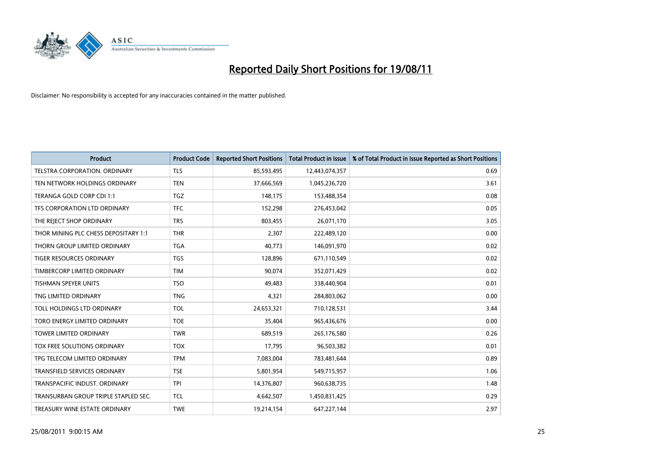

| <b>Product</b>                       | <b>Product Code</b> | <b>Reported Short Positions</b> | <b>Total Product in Issue</b> | % of Total Product in Issue Reported as Short Positions |
|--------------------------------------|---------------------|---------------------------------|-------------------------------|---------------------------------------------------------|
| <b>TELSTRA CORPORATION, ORDINARY</b> | <b>TLS</b>          | 85,593,495                      | 12,443,074,357                | 0.69                                                    |
| TEN NETWORK HOLDINGS ORDINARY        | <b>TEN</b>          | 37,666,569                      | 1,045,236,720                 | 3.61                                                    |
| TERANGA GOLD CORP CDI 1:1            | <b>TGZ</b>          | 148,175                         | 153,488,354                   | 0.08                                                    |
| TFS CORPORATION LTD ORDINARY         | <b>TFC</b>          | 152,298                         | 276,453,042                   | 0.05                                                    |
| THE REJECT SHOP ORDINARY             | <b>TRS</b>          | 803,455                         | 26,071,170                    | 3.05                                                    |
| THOR MINING PLC CHESS DEPOSITARY 1:1 | <b>THR</b>          | 2,307                           | 222,489,120                   | 0.00                                                    |
| THORN GROUP LIMITED ORDINARY         | <b>TGA</b>          | 40,773                          | 146,091,970                   | 0.02                                                    |
| TIGER RESOURCES ORDINARY             | <b>TGS</b>          | 128,896                         | 671,110,549                   | 0.02                                                    |
| TIMBERCORP LIMITED ORDINARY          | <b>TIM</b>          | 90.074                          | 352,071,429                   | 0.02                                                    |
| <b>TISHMAN SPEYER UNITS</b>          | <b>TSO</b>          | 49,483                          | 338,440,904                   | 0.01                                                    |
| TNG LIMITED ORDINARY                 | <b>TNG</b>          | 4,321                           | 284,803,062                   | 0.00                                                    |
| TOLL HOLDINGS LTD ORDINARY           | <b>TOL</b>          | 24,653,321                      | 710,128,531                   | 3.44                                                    |
| TORO ENERGY LIMITED ORDINARY         | <b>TOE</b>          | 35,404                          | 965,436,676                   | 0.00                                                    |
| <b>TOWER LIMITED ORDINARY</b>        | <b>TWR</b>          | 689,519                         | 265,176,580                   | 0.26                                                    |
| TOX FREE SOLUTIONS ORDINARY          | <b>TOX</b>          | 17,795                          | 96,503,382                    | 0.01                                                    |
| TPG TELECOM LIMITED ORDINARY         | <b>TPM</b>          | 7,083,004                       | 783,481,644                   | 0.89                                                    |
| <b>TRANSFIELD SERVICES ORDINARY</b>  | <b>TSE</b>          | 5,801,954                       | 549,715,957                   | 1.06                                                    |
| TRANSPACIFIC INDUST. ORDINARY        | <b>TPI</b>          | 14,376,807                      | 960,638,735                   | 1.48                                                    |
| TRANSURBAN GROUP TRIPLE STAPLED SEC. | <b>TCL</b>          | 4,642,507                       | 1,450,831,425                 | 0.29                                                    |
| TREASURY WINE ESTATE ORDINARY        | <b>TWE</b>          | 19,214,154                      | 647,227,144                   | 2.97                                                    |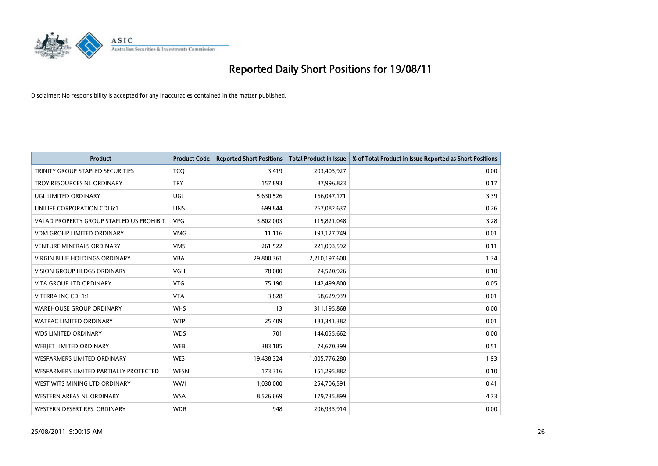

| <b>Product</b>                            | <b>Product Code</b> | <b>Reported Short Positions</b> | <b>Total Product in Issue</b> | % of Total Product in Issue Reported as Short Positions |
|-------------------------------------------|---------------------|---------------------------------|-------------------------------|---------------------------------------------------------|
| TRINITY GROUP STAPLED SECURITIES          | <b>TCQ</b>          | 3,419                           | 203,405,927                   | 0.00                                                    |
| TROY RESOURCES NL ORDINARY                | <b>TRY</b>          | 157,893                         | 87,996,823                    | 0.17                                                    |
| UGL LIMITED ORDINARY                      | UGL                 | 5,630,526                       | 166,047,171                   | 3.39                                                    |
| UNILIFE CORPORATION CDI 6:1               | <b>UNS</b>          | 699.844                         | 267,082,637                   | 0.26                                                    |
| VALAD PROPERTY GROUP STAPLED US PROHIBIT. | <b>VPG</b>          | 3,802,003                       | 115,821,048                   | 3.28                                                    |
| <b>VDM GROUP LIMITED ORDINARY</b>         | <b>VMG</b>          | 11,116                          | 193,127,749                   | 0.01                                                    |
| VENTURE MINERALS ORDINARY                 | <b>VMS</b>          | 261,522                         | 221,093,592                   | 0.11                                                    |
| VIRGIN BLUE HOLDINGS ORDINARY             | <b>VBA</b>          | 29,800,361                      | 2,210,197,600                 | 1.34                                                    |
| <b>VISION GROUP HLDGS ORDINARY</b>        | <b>VGH</b>          | 78,000                          | 74,520,926                    | 0.10                                                    |
| <b>VITA GROUP LTD ORDINARY</b>            | <b>VTG</b>          | 75,190                          | 142,499,800                   | 0.05                                                    |
| VITERRA INC CDI 1:1                       | <b>VTA</b>          | 3,828                           | 68,629,939                    | 0.01                                                    |
| <b>WAREHOUSE GROUP ORDINARY</b>           | <b>WHS</b>          | 13                              | 311,195,868                   | 0.00                                                    |
| <b>WATPAC LIMITED ORDINARY</b>            | <b>WTP</b>          | 25,409                          | 183,341,382                   | 0.01                                                    |
| <b>WDS LIMITED ORDINARY</b>               | <b>WDS</b>          | 701                             | 144,055,662                   | 0.00                                                    |
| <b>WEBIET LIMITED ORDINARY</b>            | <b>WEB</b>          | 383,185                         | 74,670,399                    | 0.51                                                    |
| <b>WESFARMERS LIMITED ORDINARY</b>        | <b>WES</b>          | 19,438,324                      | 1,005,776,280                 | 1.93                                                    |
| WESFARMERS LIMITED PARTIALLY PROTECTED    | <b>WESN</b>         | 173,316                         | 151,295,882                   | 0.10                                                    |
| WEST WITS MINING LTD ORDINARY             | <b>WWI</b>          | 1,030,000                       | 254,706,591                   | 0.41                                                    |
| WESTERN AREAS NL ORDINARY                 | <b>WSA</b>          | 8,526,669                       | 179,735,899                   | 4.73                                                    |
| WESTERN DESERT RES. ORDINARY              | <b>WDR</b>          | 948                             | 206,935,914                   | 0.00                                                    |